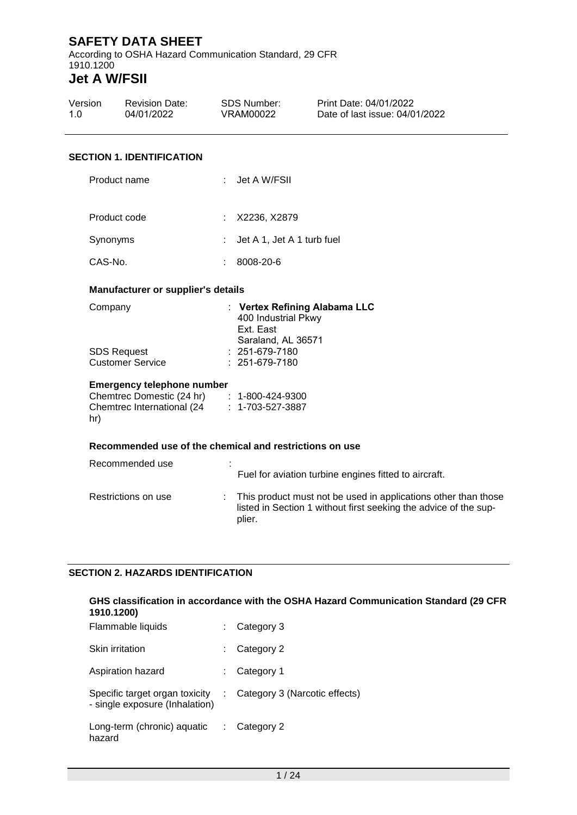According to OSHA Hazard Communication Standard, 29 CFR 1910.1200

# **Jet A W/FSII**

| Version<br>1.0                   | <b>Revision Date:</b><br>04/01/2022 |    | <b>SDS Number:</b><br>VRAM00022                                 | Print Date: 04/01/2022<br>Date of last issue: 04/01/2022 |  |
|----------------------------------|-------------------------------------|----|-----------------------------------------------------------------|----------------------------------------------------------|--|
| <b>SECTION 1. IDENTIFICATION</b> |                                     |    |                                                                 |                                                          |  |
|                                  | Product name                        |    | : Jet A W/FSII                                                  |                                                          |  |
| Product code                     |                                     | ÷  | X2236, X2879                                                    |                                                          |  |
| Synonyms                         |                                     | ÷. | Jet A 1, Jet A 1 turb fuel                                      |                                                          |  |
| CAS-No.                          |                                     | ÷. | 8008-20-6                                                       |                                                          |  |
|                                  | Manufacturer or supplier's details  |    |                                                                 |                                                          |  |
| Company                          |                                     |    | : Vertex Refining Alabama LLC<br>400 Industrial Pkwy<br>F.A F.A |                                                          |  |

|                  | <b>HUU IIIUUSUIAI FNWY</b> |
|------------------|----------------------------|
|                  | Ext. East                  |
|                  | Saraland, AL 36571         |
| SDS Request      | $: 251-679-7180$           |
| Customer Service | $: 251-679-7180$           |
|                  |                            |

#### **Emergency telephone number**

| Chemtrec Domestic (24 hr)   | $: 1 - 800 - 424 - 9300$ |
|-----------------------------|--------------------------|
| Chemtrec International (24) | $: 1 - 703 - 527 - 3887$ |
| hr)                         |                          |

#### **Recommended use of the chemical and restrictions on use**

| Recommended use     | ٠ | Fuel for aviation turbine engines fitted to aircraft.                                                                                          |
|---------------------|---|------------------------------------------------------------------------------------------------------------------------------------------------|
| Restrictions on use |   | : This product must not be used in applications other than those<br>listed in Section 1 without first seeking the advice of the sup-<br>plier. |

#### **SECTION 2. HAZARDS IDENTIFICATION**

#### **GHS classification in accordance with the OSHA Hazard Communication Standard (29 CFR 1910.1200)**

| Flammable liquids                                                | Category 3                    |
|------------------------------------------------------------------|-------------------------------|
| Skin irritation                                                  | Category 2                    |
| Aspiration hazard                                                | Category 1                    |
| Specific target organ toxicity<br>- single exposure (Inhalation) | Category 3 (Narcotic effects) |
| Long-term (chronic) aquatic<br>hazard                            | Category 2                    |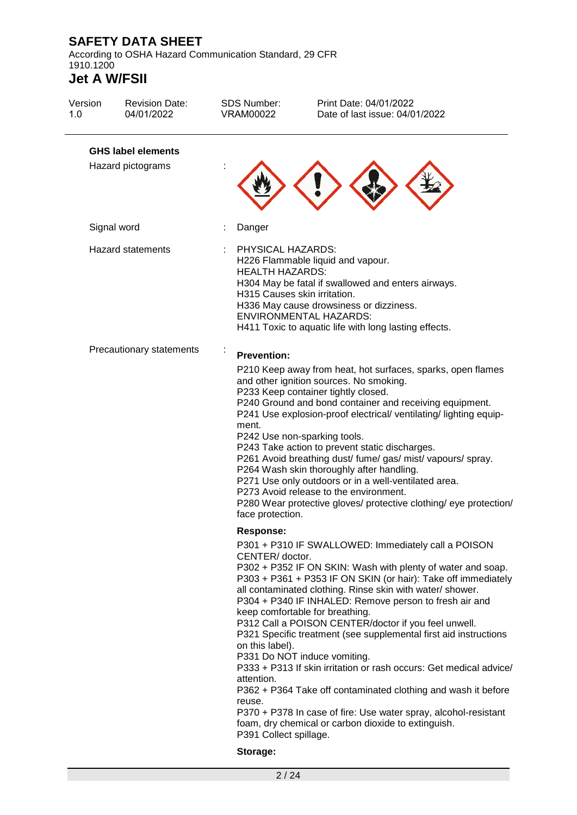According to OSHA Hazard Communication Standard, 29 CFR 1910.1200

| Version<br>1.0 | <b>Revision Date:</b><br>04/01/2022            | <b>SDS Number:</b><br><b>VRAM00022</b>                                                                   | Print Date: 04/01/2022<br>Date of last issue: 04/01/2022                                                                                                                                                                                                                                                                                                                                                                                                                                                                                                                                                                                                                                                                                                                   |
|----------------|------------------------------------------------|----------------------------------------------------------------------------------------------------------|----------------------------------------------------------------------------------------------------------------------------------------------------------------------------------------------------------------------------------------------------------------------------------------------------------------------------------------------------------------------------------------------------------------------------------------------------------------------------------------------------------------------------------------------------------------------------------------------------------------------------------------------------------------------------------------------------------------------------------------------------------------------------|
|                | <b>GHS label elements</b><br>Hazard pictograms |                                                                                                          |                                                                                                                                                                                                                                                                                                                                                                                                                                                                                                                                                                                                                                                                                                                                                                            |
|                | Signal word                                    | Danger                                                                                                   |                                                                                                                                                                                                                                                                                                                                                                                                                                                                                                                                                                                                                                                                                                                                                                            |
|                | <b>Hazard statements</b>                       | PHYSICAL HAZARDS:<br><b>HEALTH HAZARDS:</b><br>H315 Causes skin irritation.                              | H226 Flammable liquid and vapour.<br>H304 May be fatal if swallowed and enters airways.<br>H336 May cause drowsiness or dizziness.<br><b>ENVIRONMENTAL HAZARDS:</b><br>H411 Toxic to aquatic life with long lasting effects.                                                                                                                                                                                                                                                                                                                                                                                                                                                                                                                                               |
|                | Precautionary statements                       | <b>Prevention:</b><br>ment.<br>face protection.                                                          | P210 Keep away from heat, hot surfaces, sparks, open flames<br>and other ignition sources. No smoking.<br>P233 Keep container tightly closed.<br>P240 Ground and bond container and receiving equipment.<br>P241 Use explosion-proof electrical/ ventilating/ lighting equip-<br>P242 Use non-sparking tools.<br>P243 Take action to prevent static discharges.<br>P261 Avoid breathing dust/ fume/ gas/ mist/ vapours/ spray.<br>P264 Wash skin thoroughly after handling.<br>P271 Use only outdoors or in a well-ventilated area.<br>P273 Avoid release to the environment.<br>P280 Wear protective gloves/ protective clothing/ eye protection/                                                                                                                         |
|                |                                                | <b>Response:</b><br>CENTER/ doctor.<br>on this label).<br>attention.<br>reuse.<br>P391 Collect spillage. | P301 + P310 IF SWALLOWED: Immediately call a POISON<br>P302 + P352 IF ON SKIN: Wash with plenty of water and soap.<br>P303 + P361 + P353 IF ON SKIN (or hair): Take off immediately<br>all contaminated clothing. Rinse skin with water/ shower.<br>P304 + P340 IF INHALED: Remove person to fresh air and<br>keep comfortable for breathing.<br>P312 Call a POISON CENTER/doctor if you feel unwell.<br>P321 Specific treatment (see supplemental first aid instructions<br>P331 Do NOT induce vomiting.<br>P333 + P313 If skin irritation or rash occurs: Get medical advice/<br>P362 + P364 Take off contaminated clothing and wash it before<br>P370 + P378 In case of fire: Use water spray, alcohol-resistant<br>foam, dry chemical or carbon dioxide to extinguish. |
|                |                                                | Storage:                                                                                                 |                                                                                                                                                                                                                                                                                                                                                                                                                                                                                                                                                                                                                                                                                                                                                                            |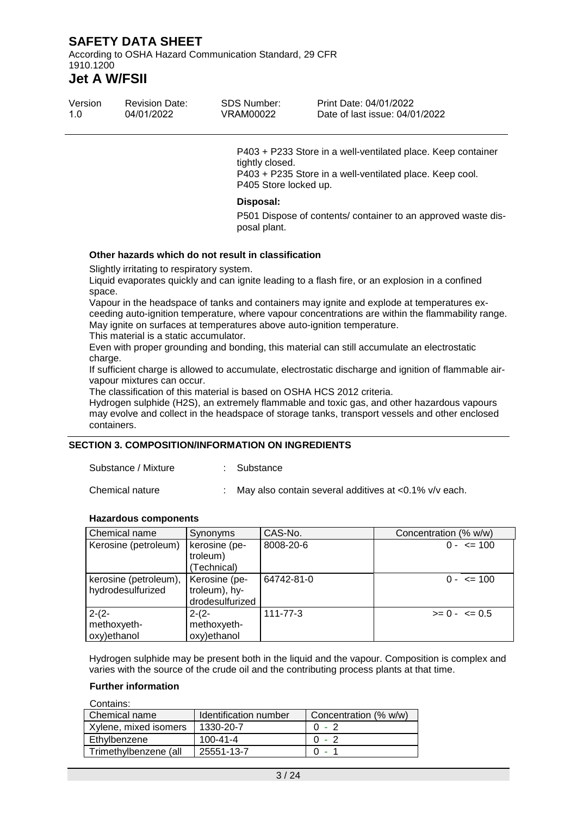According to OSHA Hazard Communication Standard, 29 CFR 1910.1200

# **Jet A W/FSII**

| Version | <b>Revision Date:</b> | SDS Number: | Print Date: 04/01/2022         |
|---------|-----------------------|-------------|--------------------------------|
| 1.0     | 04/01/2022            | VRAM00022   | Date of last issue: 04/01/2022 |

P403 + P233 Store in a well-ventilated place. Keep container tightly closed. P403 + P235 Store in a well-ventilated place. Keep cool. P405 Store locked up.

#### **Disposal:**

P501 Dispose of contents/ container to an approved waste disposal plant.

#### **Other hazards which do not result in classification**

Slightly irritating to respiratory system.

Liquid evaporates quickly and can ignite leading to a flash fire, or an explosion in a confined space.

Vapour in the headspace of tanks and containers may ignite and explode at temperatures exceeding auto-ignition temperature, where vapour concentrations are within the flammability range. May ignite on surfaces at temperatures above auto-ignition temperature.

This material is a static accumulator.

Even with proper grounding and bonding, this material can still accumulate an electrostatic charge.

If sufficient charge is allowed to accumulate, electrostatic discharge and ignition of flammable airvapour mixtures can occur.

The classification of this material is based on OSHA HCS 2012 criteria.

Hydrogen sulphide (H2S), an extremely flammable and toxic gas, and other hazardous vapours may evolve and collect in the headspace of storage tanks, transport vessels and other enclosed containers.

#### **SECTION 3. COMPOSITION/INFORMATION ON INGREDIENTS**

Substance / Mixture : Substance

Chemical nature : May also contain several additives at <0.1% v/v each.

**Hazardous components**

| Chemical name         | Synonyms                  | CAS-No.    | Concentration (% w/w) |
|-----------------------|---------------------------|------------|-----------------------|
| Kerosine (petroleum)  | kerosine (pe-<br>troleum) | 8008-20-6  | $0 - \leq 100$        |
|                       | Technical)                |            |                       |
| kerosine (petroleum), | Kerosine (pe-             | 64742-81-0 | $0 - \leq 100$        |
| hydrodesulfurized     | troleum), hy-             |            |                       |
|                       | drodesulfurized           |            |                       |
| $2-(2-$               | $2-(2-$                   | 111-77-3   | $>= 0 - 5$            |
| methoxyeth-           | methoxyeth-               |            |                       |
| oxy)ethanol           | oxy)ethanol               |            |                       |

Hydrogen sulphide may be present both in the liquid and the vapour. Composition is complex and varies with the source of the crude oil and the contributing process plants at that time.

#### **Further information**

| Contains:             |                       |                       |
|-----------------------|-----------------------|-----------------------|
| Chemical name         | Identification number | Concentration (% w/w) |
| Xylene, mixed isomers | 1330-20-7             | $0 - 2$               |
| Ethylbenzene          | $100 - 41 - 4$        | $0 - 2$               |
| Trimethylbenzene (all | 25551-13-7            |                       |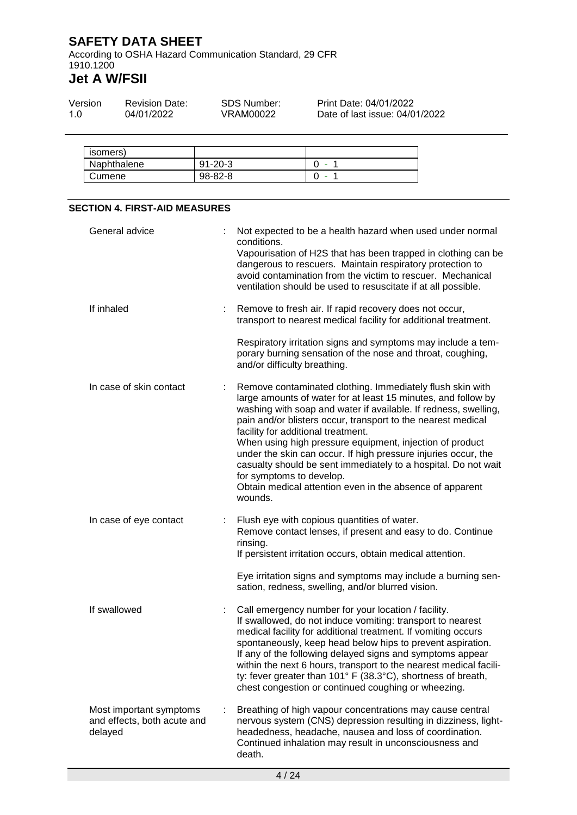According to OSHA Hazard Communication Standard, 29 CFR 1910.1200

| Version | <b>Revision Date:</b> | SDS Number: | Print Date: 04/01/2022         |
|---------|-----------------------|-------------|--------------------------------|
| 1.0     | 04/01/2022            | VRAM00022   | Date of last issue: 04/01/2022 |

| <b>ISOMERS</b> |               |  |
|----------------|---------------|--|
| Naphthalene    | $91 - 20 - 3$ |  |
| Cumene         | 98-82-8       |  |

| <b>SECTION 4. FIRST-AID MEASURES</b>                              |  |                                                                                                                                                                                                                                                                                                                                                                                                                                                                                                                                                                                                        |  |
|-------------------------------------------------------------------|--|--------------------------------------------------------------------------------------------------------------------------------------------------------------------------------------------------------------------------------------------------------------------------------------------------------------------------------------------------------------------------------------------------------------------------------------------------------------------------------------------------------------------------------------------------------------------------------------------------------|--|
| General advice                                                    |  | Not expected to be a health hazard when used under normal<br>conditions.<br>Vapourisation of H2S that has been trapped in clothing can be<br>dangerous to rescuers. Maintain respiratory protection to<br>avoid contamination from the victim to rescuer. Mechanical<br>ventilation should be used to resuscitate if at all possible.                                                                                                                                                                                                                                                                  |  |
| If inhaled                                                        |  | Remove to fresh air. If rapid recovery does not occur,<br>transport to nearest medical facility for additional treatment.<br>Respiratory irritation signs and symptoms may include a tem-<br>porary burning sensation of the nose and throat, coughing,                                                                                                                                                                                                                                                                                                                                                |  |
|                                                                   |  | and/or difficulty breathing.                                                                                                                                                                                                                                                                                                                                                                                                                                                                                                                                                                           |  |
| In case of skin contact                                           |  | Remove contaminated clothing. Immediately flush skin with<br>large amounts of water for at least 15 minutes, and follow by<br>washing with soap and water if available. If redness, swelling,<br>pain and/or blisters occur, transport to the nearest medical<br>facility for additional treatment.<br>When using high pressure equipment, injection of product<br>under the skin can occur. If high pressure injuries occur, the<br>casualty should be sent immediately to a hospital. Do not wait<br>for symptoms to develop.<br>Obtain medical attention even in the absence of apparent<br>wounds. |  |
| In case of eye contact                                            |  | Flush eye with copious quantities of water.<br>Remove contact lenses, if present and easy to do. Continue<br>rinsing.<br>If persistent irritation occurs, obtain medical attention.<br>Eye irritation signs and symptoms may include a burning sen-                                                                                                                                                                                                                                                                                                                                                    |  |
|                                                                   |  | sation, redness, swelling, and/or blurred vision.                                                                                                                                                                                                                                                                                                                                                                                                                                                                                                                                                      |  |
| If swallowed                                                      |  | Call emergency number for your location / facility.<br>If swallowed, do not induce vomiting: transport to nearest<br>medical facility for additional treatment. If vomiting occurs<br>spontaneously, keep head below hips to prevent aspiration.<br>If any of the following delayed signs and symptoms appear<br>within the next 6 hours, transport to the nearest medical facili-<br>ty: fever greater than 101° F (38.3°C), shortness of breath,<br>chest congestion or continued coughing or wheezing.                                                                                              |  |
| Most important symptoms<br>and effects, both acute and<br>delayed |  | Breathing of high vapour concentrations may cause central<br>nervous system (CNS) depression resulting in dizziness, light-<br>headedness, headache, nausea and loss of coordination.<br>Continued inhalation may result in unconsciousness and<br>death.                                                                                                                                                                                                                                                                                                                                              |  |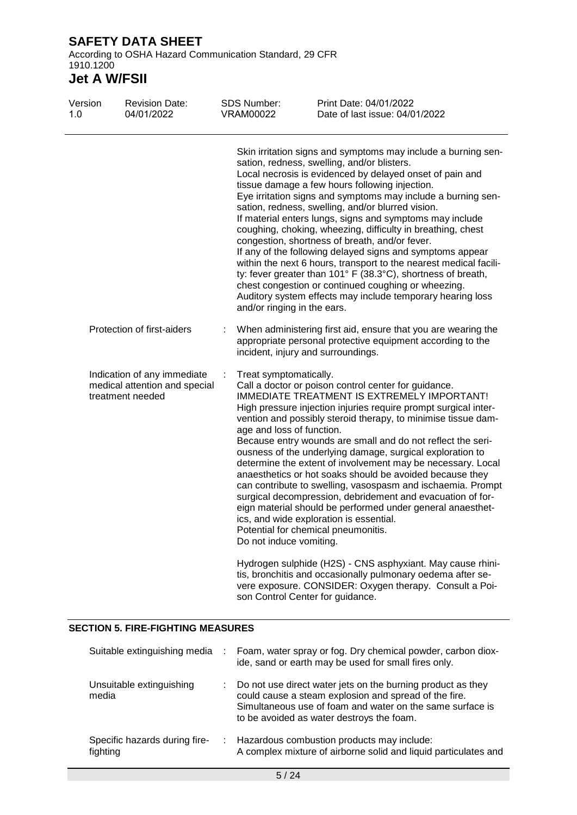According to OSHA Hazard Communication Standard, 29 CFR 1910.1200

# **Jet A W/FSII**

| Version<br>1.0 | <b>Revision Date:</b><br>04/01/2022                                           | <b>SDS Number:</b><br><b>VRAM00022</b>                                         | Print Date: 04/01/2022<br>Date of last issue: 04/01/2022                                                                                                                                                                                                                                                                                                                                                                                                                                                                                                                                                                                                                                                                                                                                                                                                                                                 |
|----------------|-------------------------------------------------------------------------------|--------------------------------------------------------------------------------|----------------------------------------------------------------------------------------------------------------------------------------------------------------------------------------------------------------------------------------------------------------------------------------------------------------------------------------------------------------------------------------------------------------------------------------------------------------------------------------------------------------------------------------------------------------------------------------------------------------------------------------------------------------------------------------------------------------------------------------------------------------------------------------------------------------------------------------------------------------------------------------------------------|
|                |                                                                               | and/or ringing in the ears.                                                    | Skin irritation signs and symptoms may include a burning sen-<br>sation, redness, swelling, and/or blisters.<br>Local necrosis is evidenced by delayed onset of pain and<br>tissue damage a few hours following injection.<br>Eye irritation signs and symptoms may include a burning sen-<br>sation, redness, swelling, and/or blurred vision.<br>If material enters lungs, signs and symptoms may include<br>coughing, choking, wheezing, difficulty in breathing, chest<br>congestion, shortness of breath, and/or fever.<br>If any of the following delayed signs and symptoms appear<br>within the next 6 hours, transport to the nearest medical facili-<br>ty: fever greater than 101° F (38.3°C), shortness of breath,<br>chest congestion or continued coughing or wheezing.<br>Auditory system effects may include temporary hearing loss                                                      |
|                | Protection of first-aiders<br>Indication of any immediate<br>treatment needed |                                                                                | When administering first aid, ensure that you are wearing the<br>appropriate personal protective equipment according to the<br>incident, injury and surroundings.                                                                                                                                                                                                                                                                                                                                                                                                                                                                                                                                                                                                                                                                                                                                        |
|                | medical attention and special                                                 | Treat symptomatically.<br>age and loss of function.<br>Do not induce vomiting. | Call a doctor or poison control center for guidance.<br>IMMEDIATE TREATMENT IS EXTREMELY IMPORTANT!<br>High pressure injection injuries require prompt surgical inter-<br>vention and possibly steroid therapy, to minimise tissue dam-<br>Because entry wounds are small and do not reflect the seri-<br>ousness of the underlying damage, surgical exploration to<br>determine the extent of involvement may be necessary. Local<br>anaesthetics or hot soaks should be avoided because they<br>can contribute to swelling, vasospasm and ischaemia. Prompt<br>surgical decompression, debridement and evacuation of for-<br>eign material should be performed under general anaesthet-<br>ics, and wide exploration is essential.<br>Potential for chemical pneumonitis.<br>Hydrogen sulphide (H2S) - CNS asphyxiant. May cause rhini-<br>tis, bronchitis and occasionally pulmonary oedema after se- |
|                |                                                                               |                                                                                | vere exposure. CONSIDER: Oxygen therapy. Consult a Poi-<br>son Control Center for guidance.                                                                                                                                                                                                                                                                                                                                                                                                                                                                                                                                                                                                                                                                                                                                                                                                              |

#### **SECTION 5. FIRE-FIGHTING MEASURES**

| Suitable extinguishing media              | Foam, water spray or fog. Dry chemical powder, carbon diox-<br>ide, sand or earth may be used for small fires only.                                                                                                            |
|-------------------------------------------|--------------------------------------------------------------------------------------------------------------------------------------------------------------------------------------------------------------------------------|
| Unsuitable extinguishing<br>media         | Do not use direct water jets on the burning product as they<br>could cause a steam explosion and spread of the fire.<br>Simultaneous use of foam and water on the same surface is<br>to be avoided as water destroys the foam. |
| Specific hazards during fire-<br>fighting | Hazardous combustion products may include:<br>A complex mixture of airborne solid and liquid particulates and                                                                                                                  |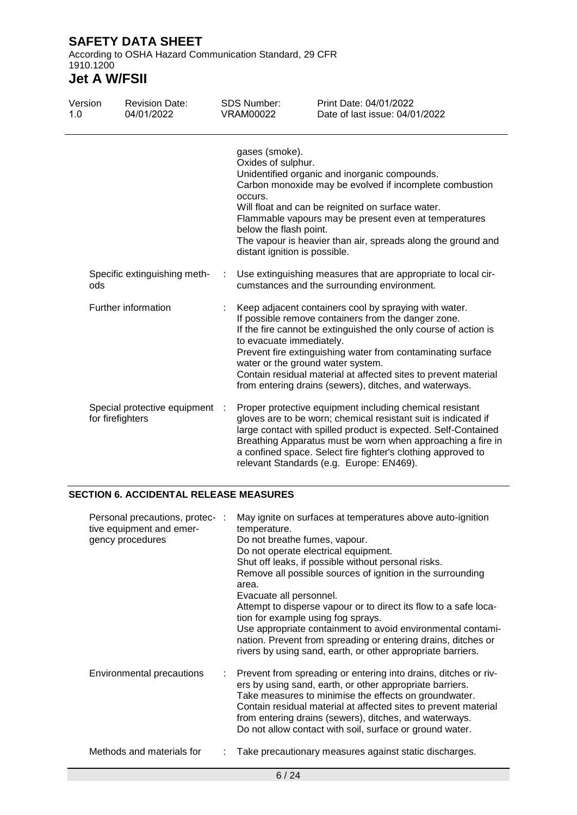According to OSHA Hazard Communication Standard, 29 CFR 1910.1200

# **Jet A W/FSII**

| Version<br>1.0 |                  | <b>Revision Date:</b><br>04/01/2022 |   | <b>SDS Number:</b><br><b>VRAM00022</b>                                                                     | Print Date: 04/01/2022<br>Date of last issue: 04/01/2022                                                                                                                                                                                                                                                                                                                    |
|----------------|------------------|-------------------------------------|---|------------------------------------------------------------------------------------------------------------|-----------------------------------------------------------------------------------------------------------------------------------------------------------------------------------------------------------------------------------------------------------------------------------------------------------------------------------------------------------------------------|
|                |                  |                                     |   | gases (smoke).<br>Oxides of sulphur.<br>occurs.<br>below the flash point.<br>distant ignition is possible. | Unidentified organic and inorganic compounds.<br>Carbon monoxide may be evolved if incomplete combustion<br>Will float and can be reignited on surface water.<br>Flammable vapours may be present even at temperatures<br>The vapour is heavier than air, spreads along the ground and                                                                                      |
|                | ods              | Specific extinguishing meth-        | ÷ |                                                                                                            | Use extinguishing measures that are appropriate to local cir-<br>cumstances and the surrounding environment.                                                                                                                                                                                                                                                                |
|                |                  | Further information                 |   | to evacuate immediately.<br>water or the ground water system.                                              | Keep adjacent containers cool by spraying with water.<br>If possible remove containers from the danger zone.<br>If the fire cannot be extinguished the only course of action is<br>Prevent fire extinguishing water from contaminating surface<br>Contain residual material at affected sites to prevent material<br>from entering drains (sewers), ditches, and waterways. |
|                | for firefighters | Special protective equipment :      |   |                                                                                                            | Proper protective equipment including chemical resistant<br>gloves are to be worn; chemical resistant suit is indicated if<br>large contact with spilled product is expected. Self-Contained<br>Breathing Apparatus must be worn when approaching a fire in<br>a confined space. Select fire fighter's clothing approved to<br>relevant Standards (e.g. Europe: EN469).     |

### **SECTION 6. ACCIDENTAL RELEASE MEASURES**

| Personal precautions, protec- :<br>tive equipment and emer-<br>gency procedures | May ignite on surfaces at temperatures above auto-ignition<br>temperature.<br>Do not breathe fumes, vapour.<br>Do not operate electrical equipment.<br>Shut off leaks, if possible without personal risks.<br>Remove all possible sources of ignition in the surrounding<br>area.<br>Evacuate all personnel.<br>Attempt to disperse vapour or to direct its flow to a safe loca-<br>tion for example using fog sprays.<br>Use appropriate containment to avoid environmental contami-<br>nation. Prevent from spreading or entering drains, ditches or<br>rivers by using sand, earth, or other appropriate barriers. |
|---------------------------------------------------------------------------------|-----------------------------------------------------------------------------------------------------------------------------------------------------------------------------------------------------------------------------------------------------------------------------------------------------------------------------------------------------------------------------------------------------------------------------------------------------------------------------------------------------------------------------------------------------------------------------------------------------------------------|
| <b>Environmental precautions</b>                                                | : Prevent from spreading or entering into drains, ditches or riv-<br>ers by using sand, earth, or other appropriate barriers.<br>Take measures to minimise the effects on groundwater.<br>Contain residual material at affected sites to prevent material<br>from entering drains (sewers), ditches, and waterways.<br>Do not allow contact with soil, surface or ground water.                                                                                                                                                                                                                                       |
| Methods and materials for                                                       | Take precautionary measures against static discharges.                                                                                                                                                                                                                                                                                                                                                                                                                                                                                                                                                                |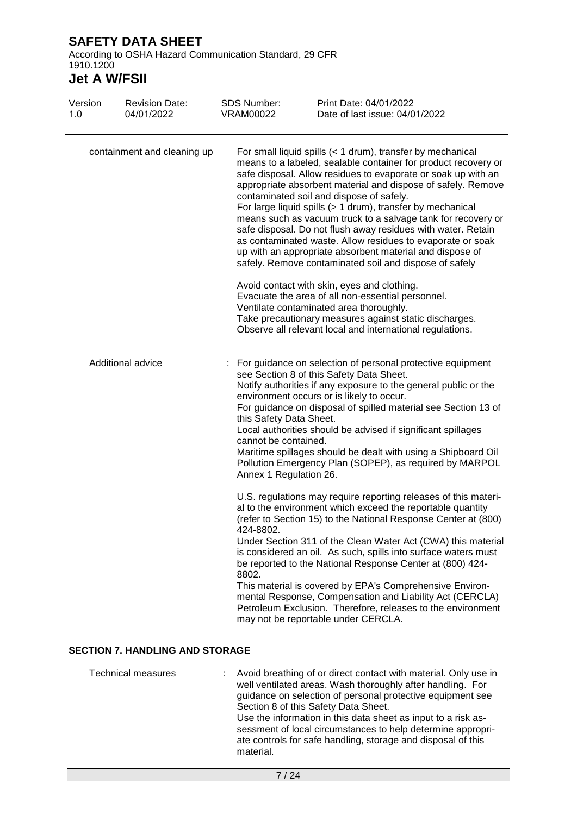According to OSHA Hazard Communication Standard, 29 CFR 1910.1200

# **Jet A W/FSII**

| Version<br>1.0              | <b>Revision Date:</b><br>04/01/2022 | <b>SDS Number:</b><br><b>VRAM00022</b>                                                                                                                                                                                                                                                                                                                                                                                                                                                                                                                                                                                                              | Print Date: 04/01/2022<br>Date of last issue: 04/01/2022                                                                                                                                                                                                                                                                                                                                                                                                                                                                                                                                                                     |  |  |  |
|-----------------------------|-------------------------------------|-----------------------------------------------------------------------------------------------------------------------------------------------------------------------------------------------------------------------------------------------------------------------------------------------------------------------------------------------------------------------------------------------------------------------------------------------------------------------------------------------------------------------------------------------------------------------------------------------------------------------------------------------------|------------------------------------------------------------------------------------------------------------------------------------------------------------------------------------------------------------------------------------------------------------------------------------------------------------------------------------------------------------------------------------------------------------------------------------------------------------------------------------------------------------------------------------------------------------------------------------------------------------------------------|--|--|--|
| containment and cleaning up |                                     | For small liquid spills $(1 drum), transfer by mechanicalmeans to a labeled, sealable container for product recovery orsafe disposal. Allow residues to evaporate or soak up with anappropriate absorbent material and dispose of safely. Removecontaminated soil and dispose of safely.For large liquid spills (> 1 drum), transfer by mechanicalmeans such as vacuum truck to a salvage tank for recovery orsafe disposal. Do not flush away residues with water. Retainas contaminated waste. Allow residues to evaporate or soakup with an appropriate absorbent material and dispose ofsafely. Remove contaminated soil and dispose of safely$ |                                                                                                                                                                                                                                                                                                                                                                                                                                                                                                                                                                                                                              |  |  |  |
|                             |                                     |                                                                                                                                                                                                                                                                                                                                                                                                                                                                                                                                                                                                                                                     | Avoid contact with skin, eyes and clothing.<br>Evacuate the area of all non-essential personnel.<br>Ventilate contaminated area thoroughly.<br>Take precautionary measures against static discharges.<br>Observe all relevant local and international regulations.                                                                                                                                                                                                                                                                                                                                                           |  |  |  |
| Additional advice           |                                     | For guidance on selection of personal protective equipment<br>see Section 8 of this Safety Data Sheet.<br>Notify authorities if any exposure to the general public or the<br>environment occurs or is likely to occur.<br>For guidance on disposal of spilled material see Section 13 of<br>this Safety Data Sheet.<br>Local authorities should be advised if significant spillages<br>cannot be contained.<br>Maritime spillages should be dealt with using a Shipboard Oil<br>Pollution Emergency Plan (SOPEP), as required by MARPOL<br>Annex 1 Regulation 26.                                                                                   |                                                                                                                                                                                                                                                                                                                                                                                                                                                                                                                                                                                                                              |  |  |  |
|                             |                                     | 424-8802.<br>8802.                                                                                                                                                                                                                                                                                                                                                                                                                                                                                                                                                                                                                                  | U.S. regulations may require reporting releases of this materi-<br>al to the environment which exceed the reportable quantity<br>(refer to Section 15) to the National Response Center at (800)<br>Under Section 311 of the Clean Water Act (CWA) this material<br>is considered an oil. As such, spills into surface waters must<br>be reported to the National Response Center at (800) 424-<br>This material is covered by EPA's Comprehensive Environ-<br>mental Response, Compensation and Liability Act (CERCLA)<br>Petroleum Exclusion. Therefore, releases to the environment<br>may not be reportable under CERCLA. |  |  |  |

#### **SECTION 7. HANDLING AND STORAGE**

| <b>Technical measures</b> | : Avoid breathing of or direct contact with material. Only use in<br>well ventilated areas. Wash thoroughly after handling. For<br>guidance on selection of personal protective equipment see<br>Section 8 of this Safety Data Sheet.<br>Use the information in this data sheet as input to a risk as-<br>sessment of local circumstances to help determine appropri-<br>ate controls for safe handling, storage and disposal of this |
|---------------------------|---------------------------------------------------------------------------------------------------------------------------------------------------------------------------------------------------------------------------------------------------------------------------------------------------------------------------------------------------------------------------------------------------------------------------------------|
|                           | material.                                                                                                                                                                                                                                                                                                                                                                                                                             |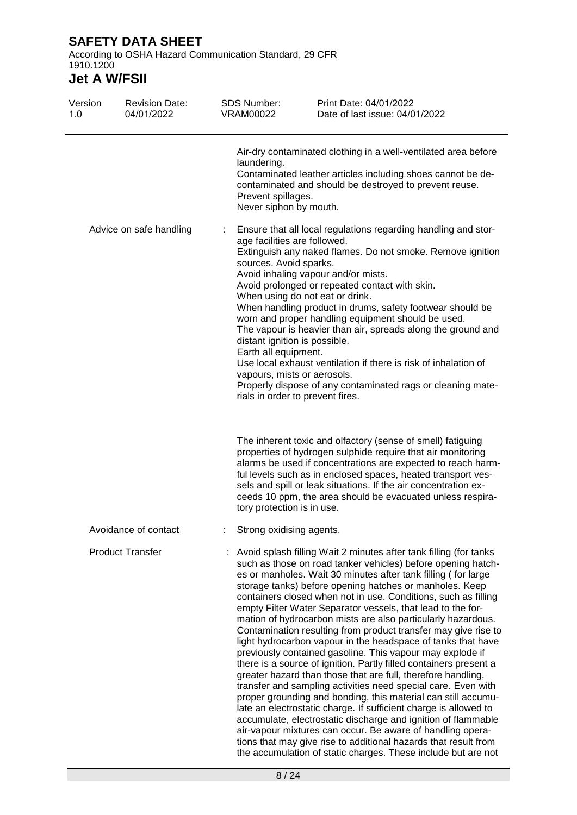According to OSHA Hazard Communication Standard, 29 CFR 1910.1200

| Version<br>1.0 | <b>Revision Date:</b><br>04/01/2022 | <b>SDS Number:</b><br><b>VRAM00022</b>                      | Print Date: 04/01/2022<br>Date of last issue: 04/01/2022                                                                                                                                                                                                                                                                                                                                                                                                                                                                                                                                                                                                                                                                                                                                                                                                                                                                                                                                                                                                                                                                                                                                                                                                                    |
|----------------|-------------------------------------|-------------------------------------------------------------|-----------------------------------------------------------------------------------------------------------------------------------------------------------------------------------------------------------------------------------------------------------------------------------------------------------------------------------------------------------------------------------------------------------------------------------------------------------------------------------------------------------------------------------------------------------------------------------------------------------------------------------------------------------------------------------------------------------------------------------------------------------------------------------------------------------------------------------------------------------------------------------------------------------------------------------------------------------------------------------------------------------------------------------------------------------------------------------------------------------------------------------------------------------------------------------------------------------------------------------------------------------------------------|
|                |                                     | laundering.<br>Prevent spillages.<br>Never siphon by mouth. | Air-dry contaminated clothing in a well-ventilated area before<br>Contaminated leather articles including shoes cannot be de-<br>contaminated and should be destroyed to prevent reuse.                                                                                                                                                                                                                                                                                                                                                                                                                                                                                                                                                                                                                                                                                                                                                                                                                                                                                                                                                                                                                                                                                     |
|                | Advice on safe handling             | sources. Avoid sparks.<br>Earth all equipment.              | Ensure that all local regulations regarding handling and stor-<br>age facilities are followed.<br>Extinguish any naked flames. Do not smoke. Remove ignition<br>Avoid inhaling vapour and/or mists.<br>Avoid prolonged or repeated contact with skin.<br>When using do not eat or drink.<br>When handling product in drums, safety footwear should be<br>worn and proper handling equipment should be used.<br>The vapour is heavier than air, spreads along the ground and<br>distant ignition is possible.<br>Use local exhaust ventilation if there is risk of inhalation of<br>vapours, mists or aerosols.<br>Properly dispose of any contaminated rags or cleaning mate-<br>rials in order to prevent fires.                                                                                                                                                                                                                                                                                                                                                                                                                                                                                                                                                           |
|                |                                     | tory protection is in use.                                  | The inherent toxic and olfactory (sense of smell) fatiguing<br>properties of hydrogen sulphide require that air monitoring<br>alarms be used if concentrations are expected to reach harm-<br>ful levels such as in enclosed spaces, heated transport ves-<br>sels and spill or leak situations. If the air concentration ex-<br>ceeds 10 ppm, the area should be evacuated unless respira-                                                                                                                                                                                                                                                                                                                                                                                                                                                                                                                                                                                                                                                                                                                                                                                                                                                                                 |
|                | Avoidance of contact                | Strong oxidising agents.                                    |                                                                                                                                                                                                                                                                                                                                                                                                                                                                                                                                                                                                                                                                                                                                                                                                                                                                                                                                                                                                                                                                                                                                                                                                                                                                             |
|                | <b>Product Transfer</b>             |                                                             | Avoid splash filling Wait 2 minutes after tank filling (for tanks<br>such as those on road tanker vehicles) before opening hatch-<br>es or manholes. Wait 30 minutes after tank filling (for large<br>storage tanks) before opening hatches or manholes. Keep<br>containers closed when not in use. Conditions, such as filling<br>empty Filter Water Separator vessels, that lead to the for-<br>mation of hydrocarbon mists are also particularly hazardous.<br>Contamination resulting from product transfer may give rise to<br>light hydrocarbon vapour in the headspace of tanks that have<br>previously contained gasoline. This vapour may explode if<br>there is a source of ignition. Partly filled containers present a<br>greater hazard than those that are full, therefore handling,<br>transfer and sampling activities need special care. Even with<br>proper grounding and bonding, this material can still accumu-<br>late an electrostatic charge. If sufficient charge is allowed to<br>accumulate, electrostatic discharge and ignition of flammable<br>air-vapour mixtures can occur. Be aware of handling opera-<br>tions that may give rise to additional hazards that result from<br>the accumulation of static charges. These include but are not |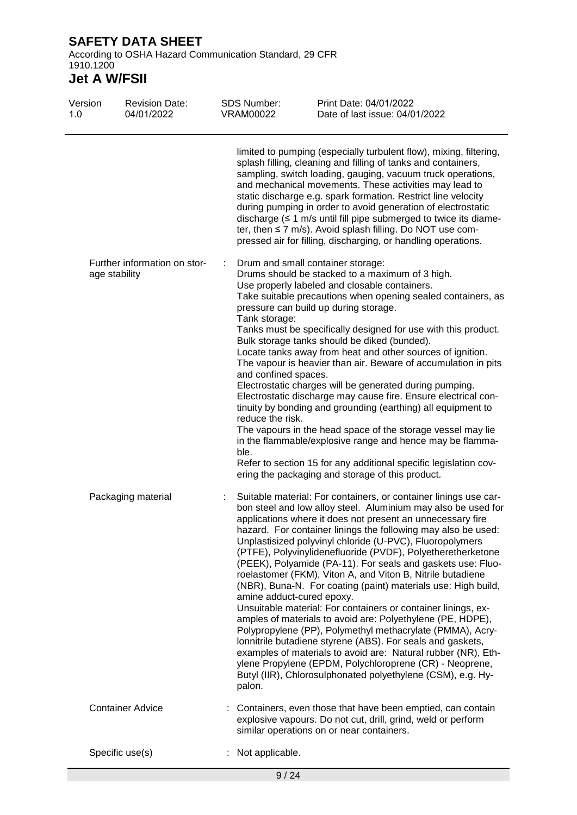According to OSHA Hazard Communication Standard, 29 CFR 1910.1200

| Version<br>1.0 | <b>Revision Date:</b><br>04/01/2022           | <b>SDS Number:</b><br><b>VRAM00022</b>                            | Print Date: 04/01/2022<br>Date of last issue: 04/01/2022                                                                                                                                                                                                                                                                                                                                                                                                                                                                                                                                                                                                                                                                                                                                                                                                                                                                                                                                                                                       |
|----------------|-----------------------------------------------|-------------------------------------------------------------------|------------------------------------------------------------------------------------------------------------------------------------------------------------------------------------------------------------------------------------------------------------------------------------------------------------------------------------------------------------------------------------------------------------------------------------------------------------------------------------------------------------------------------------------------------------------------------------------------------------------------------------------------------------------------------------------------------------------------------------------------------------------------------------------------------------------------------------------------------------------------------------------------------------------------------------------------------------------------------------------------------------------------------------------------|
|                |                                               |                                                                   | limited to pumping (especially turbulent flow), mixing, filtering,<br>splash filling, cleaning and filling of tanks and containers,<br>sampling, switch loading, gauging, vacuum truck operations,<br>and mechanical movements. These activities may lead to<br>static discharge e.g. spark formation. Restrict line velocity<br>during pumping in order to avoid generation of electrostatic<br>discharge $(\leq 1 \text{ m/s}$ until fill pipe submerged to twice its diame-<br>ter, then ≤ 7 m/s). Avoid splash filling. Do NOT use com-<br>pressed air for filling, discharging, or handling operations.                                                                                                                                                                                                                                                                                                                                                                                                                                   |
|                | Further information on stor-<br>age stability | Tank storage:<br>and confined spaces.<br>reduce the risk.<br>ble. | Drum and small container storage:<br>Drums should be stacked to a maximum of 3 high.<br>Use properly labeled and closable containers.<br>Take suitable precautions when opening sealed containers, as<br>pressure can build up during storage.<br>Tanks must be specifically designed for use with this product.<br>Bulk storage tanks should be diked (bunded).<br>Locate tanks away from heat and other sources of ignition.<br>The vapour is heavier than air. Beware of accumulation in pits<br>Electrostatic charges will be generated during pumping.<br>Electrostatic discharge may cause fire. Ensure electrical con-<br>tinuity by bonding and grounding (earthing) all equipment to<br>The vapours in the head space of the storage vessel may lie<br>in the flammable/explosive range and hence may be flamma-<br>Refer to section 15 for any additional specific legislation cov-<br>ering the packaging and storage of this product.                                                                                              |
|                | Packaging material                            | amine adduct-cured epoxy.<br>palon.                               | Suitable material: For containers, or container linings use car-<br>bon steel and low alloy steel. Aluminium may also be used for<br>applications where it does not present an unnecessary fire<br>hazard. For container linings the following may also be used:<br>Unplastisized polyvinyl chloride (U-PVC), Fluoropolymers<br>(PTFE), Polyvinylidenefluoride (PVDF), Polyetheretherketone<br>(PEEK), Polyamide (PA-11). For seals and gaskets use: Fluo-<br>roelastomer (FKM), Viton A, and Viton B, Nitrile butadiene<br>(NBR), Buna-N. For coating (paint) materials use: High build,<br>Unsuitable material: For containers or container linings, ex-<br>amples of materials to avoid are: Polyethylene (PE, HDPE),<br>Polypropylene (PP), Polymethyl methacrylate (PMMA), Acry-<br>lonnitrile butadiene styrene (ABS). For seals and gaskets,<br>examples of materials to avoid are: Natural rubber (NR), Eth-<br>ylene Propylene (EPDM, Polychloroprene (CR) - Neoprene,<br>Butyl (IIR), Chlorosulphonated polyethylene (CSM), e.g. Hy- |
|                | <b>Container Advice</b>                       |                                                                   | Containers, even those that have been emptied, can contain<br>explosive vapours. Do not cut, drill, grind, weld or perform<br>similar operations on or near containers.                                                                                                                                                                                                                                                                                                                                                                                                                                                                                                                                                                                                                                                                                                                                                                                                                                                                        |
|                | Specific use(s)                               | Not applicable.                                                   |                                                                                                                                                                                                                                                                                                                                                                                                                                                                                                                                                                                                                                                                                                                                                                                                                                                                                                                                                                                                                                                |
|                |                                               | 9/24                                                              |                                                                                                                                                                                                                                                                                                                                                                                                                                                                                                                                                                                                                                                                                                                                                                                                                                                                                                                                                                                                                                                |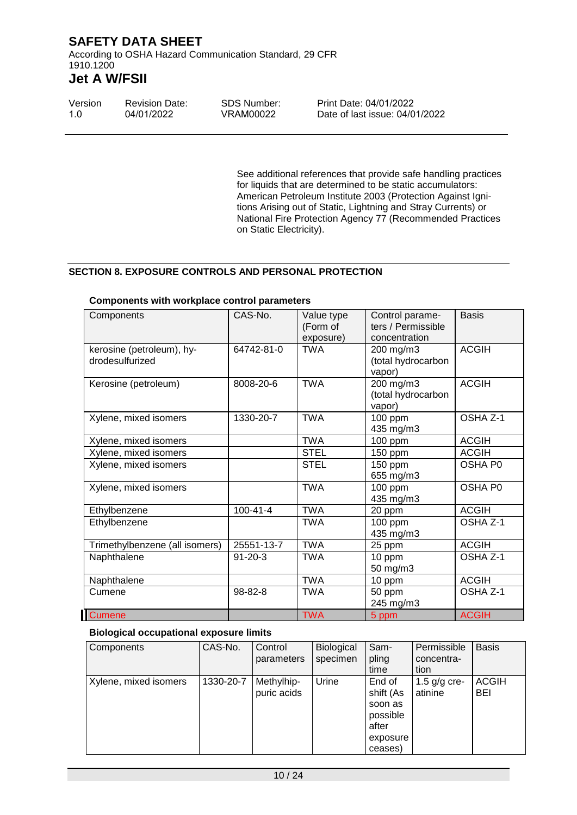According to OSHA Hazard Communication Standard, 29 CFR 1910.1200

# **Jet A W/FSII**

| Version | <b>Revision Date:</b> | <b>SDS Number:</b> | Print Date: 04/01/2022         |
|---------|-----------------------|--------------------|--------------------------------|
| -1.O    | 04/01/2022            | VRAM00022          | Date of last issue: 04/01/2022 |

See additional references that provide safe handling practices for liquids that are determined to be static accumulators: American Petroleum Institute 2003 (Protection Against Ignitions Arising out of Static, Lightning and Stray Currents) or National Fire Protection Agency 77 (Recommended Practices on Static Electricity).

#### **SECTION 8. EXPOSURE CONTROLS AND PERSONAL PROTECTION**

| Components                                   | CAS-No.        | Value type<br>(Form of<br>exposure) | Control parame-<br>ters / Permissible<br>concentration | <b>Basis</b> |
|----------------------------------------------|----------------|-------------------------------------|--------------------------------------------------------|--------------|
| kerosine (petroleum), hy-<br>drodesulfurized | 64742-81-0     | <b>TWA</b>                          | 200 mg/m3<br>(total hydrocarbon<br>vapor)              | <b>ACGIH</b> |
| Kerosine (petroleum)                         | 8008-20-6      | <b>TWA</b>                          | 200 mg/m3<br>(total hydrocarbon<br>vapor)              | <b>ACGIH</b> |
| Xylene, mixed isomers                        | 1330-20-7      | <b>TWA</b>                          | 100 ppm<br>435 mg/m3                                   | OSHA Z-1     |
| Xylene, mixed isomers                        |                | <b>TWA</b>                          | 100 ppm                                                | <b>ACGIH</b> |
| Xylene, mixed isomers                        |                | <b>STEL</b>                         | 150 ppm                                                | <b>ACGIH</b> |
| Xylene, mixed isomers                        |                | <b>STEL</b>                         | 150 ppm<br>655 mg/m3                                   | OSHA P0      |
| Xylene, mixed isomers                        |                | <b>TWA</b>                          | 100 ppm<br>435 mg/m3                                   | OSHA P0      |
| Ethylbenzene                                 | $100 - 41 - 4$ | <b>TWA</b>                          | 20 ppm                                                 | <b>ACGIH</b> |
| Ethylbenzene                                 |                | <b>TWA</b>                          | 100 ppm<br>435 mg/m3                                   | OSHA Z-1     |
| Trimethylbenzene (all isomers)               | 25551-13-7     | <b>TWA</b>                          | 25 ppm                                                 | <b>ACGIH</b> |
| Naphthalene                                  | $91 - 20 - 3$  | <b>TWA</b>                          | 10 ppm<br>50 mg/m3                                     | OSHA Z-1     |
| Naphthalene                                  |                | <b>TWA</b>                          | 10 ppm                                                 | <b>ACGIH</b> |
| Cumene                                       | 98-82-8        | <b>TWA</b>                          | 50 ppm<br>245 mg/m3                                    | OSHA Z-1     |
| <b>Cumene</b>                                |                | <b>TWA</b>                          | 5 ppm                                                  | <b>ACGIH</b> |

#### **Components with workplace control parameters**

### **Biological occupational exposure limits**

| Components            | CAS-No.   | Control<br>parameters     | <b>Biological</b><br>specimen | Sam-<br>pling<br>time                                                      | Permissible<br>concentra-<br>tion | <b>Basis</b>        |
|-----------------------|-----------|---------------------------|-------------------------------|----------------------------------------------------------------------------|-----------------------------------|---------------------|
| Xylene, mixed isomers | 1330-20-7 | Methylhip-<br>puric acids | Urine                         | End of<br>shift (As<br>soon as<br>possible<br>after<br>exposure<br>ceases) | 1.5 $g/g$ cre-<br>atinine         | <b>ACGIH</b><br>BEI |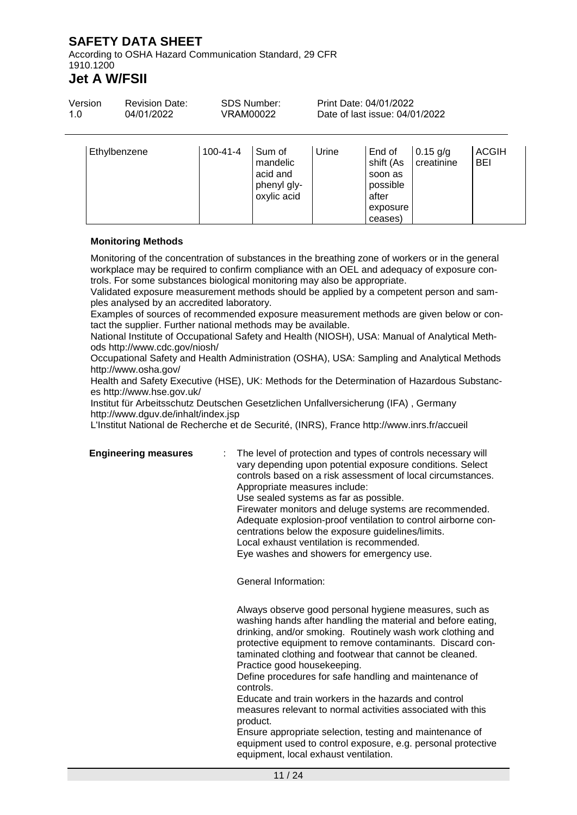According to OSHA Hazard Communication Standard, 29 CFR 1910.1200

# **Jet A W/FSII**

| Version<br>1.0 | <b>Revision Date:</b><br><b>SDS Number:</b><br>04/01/2022<br>VRAM00022 |                | Print Date: 04/01/2022<br>Date of last issue: 04/01/2022     |       |                                                                 |                          |                            |
|----------------|------------------------------------------------------------------------|----------------|--------------------------------------------------------------|-------|-----------------------------------------------------------------|--------------------------|----------------------------|
|                | Ethylbenzene                                                           | $100 - 41 - 4$ | Sum of<br>mandelic<br>acid and<br>phenyl gly-<br>oxylic acid | Urine | End of<br>shift (As<br>soon as<br>possible<br>after<br>exposure | $0.15$ g/g<br>creatinine | <b>ACGIH</b><br><b>BEI</b> |

#### **Monitoring Methods**

Monitoring of the concentration of substances in the breathing zone of workers or in the general workplace may be required to confirm compliance with an OEL and adequacy of exposure controls. For some substances biological monitoring may also be appropriate.

Validated exposure measurement methods should be applied by a competent person and samples analysed by an accredited laboratory.

Examples of sources of recommended exposure measurement methods are given below or contact the supplier. Further national methods may be available.

National Institute of Occupational Safety and Health (NIOSH), USA: Manual of Analytical Methods http://www.cdc.gov/niosh/

Occupational Safety and Health Administration (OSHA), USA: Sampling and Analytical Methods http://www.osha.gov/

Health and Safety Executive (HSE), UK: Methods for the Determination of Hazardous Substances http://www.hse.gov.uk/

Institut für Arbeitsschutz Deutschen Gesetzlichen Unfallversicherung (IFA) , Germany http://www.dguv.de/inhalt/index.jsp

L'Institut National de Recherche et de Securité, (INRS), France http://www.inrs.fr/accueil

**Engineering measures** : The level of protection and types of controls necessary will vary depending upon potential exposure conditions. Select controls based on a risk assessment of local circumstances. Appropriate measures include: Use sealed systems as far as possible. Firewater monitors and deluge systems are recommended. Adequate explosion-proof ventilation to control airborne con-

ceases)

centrations below the exposure guidelines/limits.

Local exhaust ventilation is recommended.

Eye washes and showers for emergency use.

General Information:

Always observe good personal hygiene measures, such as washing hands after handling the material and before eating, drinking, and/or smoking. Routinely wash work clothing and protective equipment to remove contaminants. Discard contaminated clothing and footwear that cannot be cleaned. Practice good housekeeping.

Define procedures for safe handling and maintenance of controls.

Educate and train workers in the hazards and control measures relevant to normal activities associated with this product.

Ensure appropriate selection, testing and maintenance of equipment used to control exposure, e.g. personal protective equipment, local exhaust ventilation.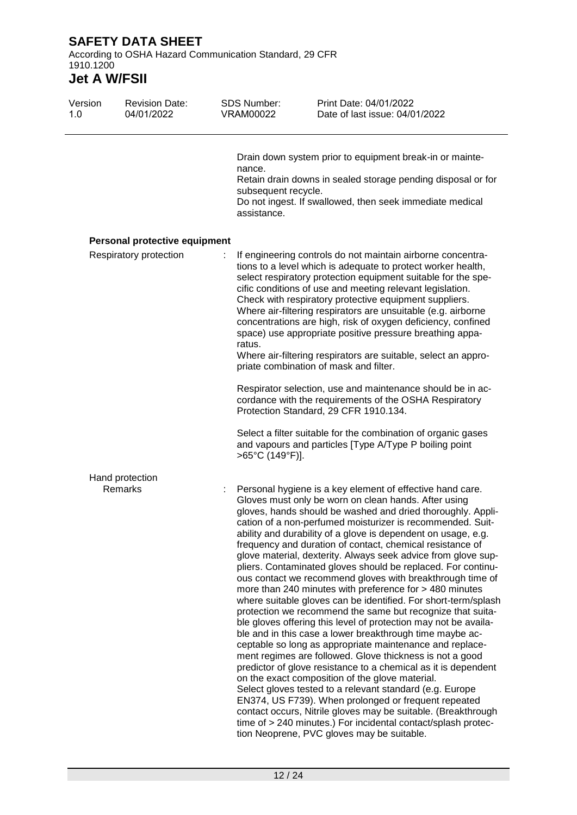According to OSHA Hazard Communication Standard, 29 CFR 1910.1200

| Version<br>1.0 | <b>Revision Date:</b><br>04/01/2022 | <b>SDS Number:</b><br><b>VRAM00022</b>       | Print Date: 04/01/2022<br>Date of last issue: 04/01/2022                                                                                                                                                                                                                                                                                                                                                                                                                                                                                                                                                                                                                                                                                                                                                                                                                                                                                                                                                                                                                                                                                                                                                                                                                                                                                                                                                                                              |
|----------------|-------------------------------------|----------------------------------------------|-------------------------------------------------------------------------------------------------------------------------------------------------------------------------------------------------------------------------------------------------------------------------------------------------------------------------------------------------------------------------------------------------------------------------------------------------------------------------------------------------------------------------------------------------------------------------------------------------------------------------------------------------------------------------------------------------------------------------------------------------------------------------------------------------------------------------------------------------------------------------------------------------------------------------------------------------------------------------------------------------------------------------------------------------------------------------------------------------------------------------------------------------------------------------------------------------------------------------------------------------------------------------------------------------------------------------------------------------------------------------------------------------------------------------------------------------------|
|                |                                     | nance.<br>subsequent recycle.<br>assistance. | Drain down system prior to equipment break-in or mainte-<br>Retain drain downs in sealed storage pending disposal or for<br>Do not ingest. If swallowed, then seek immediate medical                                                                                                                                                                                                                                                                                                                                                                                                                                                                                                                                                                                                                                                                                                                                                                                                                                                                                                                                                                                                                                                                                                                                                                                                                                                                  |
|                | Personal protective equipment       |                                              |                                                                                                                                                                                                                                                                                                                                                                                                                                                                                                                                                                                                                                                                                                                                                                                                                                                                                                                                                                                                                                                                                                                                                                                                                                                                                                                                                                                                                                                       |
|                | Respiratory protection              | ratus.                                       | If engineering controls do not maintain airborne concentra-<br>tions to a level which is adequate to protect worker health,<br>select respiratory protection equipment suitable for the spe-<br>cific conditions of use and meeting relevant legislation.<br>Check with respiratory protective equipment suppliers.<br>Where air-filtering respirators are unsuitable (e.g. airborne<br>concentrations are high, risk of oxygen deficiency, confined<br>space) use appropriate positive pressure breathing appa-<br>Where air-filtering respirators are suitable, select an appro-<br>priate combination of mask and filter.                                                                                                                                                                                                                                                                                                                                                                                                                                                                                                                                                                                                                                                                                                                                                                                                                          |
|                |                                     |                                              | Respirator selection, use and maintenance should be in ac-<br>cordance with the requirements of the OSHA Respiratory<br>Protection Standard, 29 CFR 1910.134.                                                                                                                                                                                                                                                                                                                                                                                                                                                                                                                                                                                                                                                                                                                                                                                                                                                                                                                                                                                                                                                                                                                                                                                                                                                                                         |
|                |                                     | >65°C (149°F)].                              | Select a filter suitable for the combination of organic gases<br>and vapours and particles [Type A/Type P boiling point                                                                                                                                                                                                                                                                                                                                                                                                                                                                                                                                                                                                                                                                                                                                                                                                                                                                                                                                                                                                                                                                                                                                                                                                                                                                                                                               |
|                | Hand protection                     |                                              |                                                                                                                                                                                                                                                                                                                                                                                                                                                                                                                                                                                                                                                                                                                                                                                                                                                                                                                                                                                                                                                                                                                                                                                                                                                                                                                                                                                                                                                       |
|                | Remarks                             |                                              | Personal hygiene is a key element of effective hand care.<br>Gloves must only be worn on clean hands. After using<br>gloves, hands should be washed and dried thoroughly. Appli-<br>cation of a non-perfumed moisturizer is recommended. Suit-<br>ability and durability of a glove is dependent on usage, e.g.<br>frequency and duration of contact, chemical resistance of<br>glove material, dexterity. Always seek advice from glove sup-<br>pliers. Contaminated gloves should be replaced. For continu-<br>ous contact we recommend gloves with breakthrough time of<br>more than 240 minutes with preference for > 480 minutes<br>where suitable gloves can be identified. For short-term/splash<br>protection we recommend the same but recognize that suita-<br>ble gloves offering this level of protection may not be availa-<br>ble and in this case a lower breakthrough time maybe ac-<br>ceptable so long as appropriate maintenance and replace-<br>ment regimes are followed. Glove thickness is not a good<br>predictor of glove resistance to a chemical as it is dependent<br>on the exact composition of the glove material.<br>Select gloves tested to a relevant standard (e.g. Europe<br>EN374, US F739). When prolonged or frequent repeated<br>contact occurs, Nitrile gloves may be suitable. (Breakthrough<br>time of > 240 minutes.) For incidental contact/splash protec-<br>tion Neoprene, PVC gloves may be suitable. |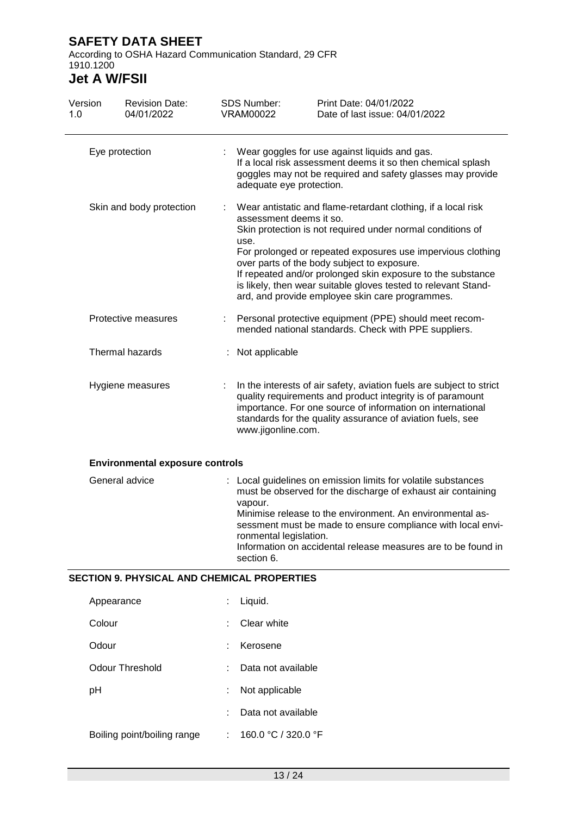According to OSHA Hazard Communication Standard, 29 CFR 1910.1200

| Version<br>1.0 |                                                                                                 | <b>Revision Date:</b><br>04/01/2022                |                                                                                                                                                                              | <b>SDS Number:</b><br><b>VRAM00022</b> | Print Date: 04/01/2022<br>Date of last issue: 04/01/2022                                                                                                                                                                                                                                                                                                                                                                      |
|----------------|-------------------------------------------------------------------------------------------------|----------------------------------------------------|------------------------------------------------------------------------------------------------------------------------------------------------------------------------------|----------------------------------------|-------------------------------------------------------------------------------------------------------------------------------------------------------------------------------------------------------------------------------------------------------------------------------------------------------------------------------------------------------------------------------------------------------------------------------|
|                |                                                                                                 | Eye protection                                     |                                                                                                                                                                              | adequate eye protection.               | : Wear goggles for use against liquids and gas.<br>If a local risk assessment deems it so then chemical splash<br>goggles may not be required and safety glasses may provide                                                                                                                                                                                                                                                  |
|                |                                                                                                 | Skin and body protection                           |                                                                                                                                                                              | assessment deems it so.<br>use.        | Wear antistatic and flame-retardant clothing, if a local risk<br>Skin protection is not required under normal conditions of<br>For prolonged or repeated exposures use impervious clothing<br>over parts of the body subject to exposure.<br>If repeated and/or prolonged skin exposure to the substance<br>is likely, then wear suitable gloves tested to relevant Stand-<br>ard, and provide employee skin care programmes. |
|                |                                                                                                 | Protective measures                                |                                                                                                                                                                              |                                        | Personal protective equipment (PPE) should meet recom-<br>mended national standards. Check with PPE suppliers.                                                                                                                                                                                                                                                                                                                |
|                | Thermal hazards<br>Hygiene measures<br><b>Environmental exposure controls</b><br>General advice |                                                    |                                                                                                                                                                              | Not applicable                         |                                                                                                                                                                                                                                                                                                                                                                                                                               |
|                |                                                                                                 |                                                    |                                                                                                                                                                              | www.jigonline.com.                     | In the interests of air safety, aviation fuels are subject to strict<br>quality requirements and product integrity is of paramount<br>importance. For one source of information on international<br>standards for the quality assurance of aviation fuels, see                                                                                                                                                                |
|                |                                                                                                 |                                                    |                                                                                                                                                                              |                                        |                                                                                                                                                                                                                                                                                                                                                                                                                               |
|                |                                                                                                 |                                                    | must be observed for the discharge of exhaust air containing<br>vapour.<br>Minimise release to the environment. An environmental as-<br>ronmental legislation.<br>section 6. |                                        | : Local guidelines on emission limits for volatile substances<br>sessment must be made to ensure compliance with local envi-<br>Information on accidental release measures are to be found in                                                                                                                                                                                                                                 |
|                |                                                                                                 | <b>SECTION 9. PHYSICAL AND CHEMICAL PROPERTIES</b> |                                                                                                                                                                              |                                        |                                                                                                                                                                                                                                                                                                                                                                                                                               |
|                | Appearance                                                                                      |                                                    |                                                                                                                                                                              | Liquid.                                |                                                                                                                                                                                                                                                                                                                                                                                                                               |
|                | Colour                                                                                          |                                                    |                                                                                                                                                                              | Clear white                            |                                                                                                                                                                                                                                                                                                                                                                                                                               |

| Odour           | : Kerosene           |
|-----------------|----------------------|
| Odour Threshold | : Data not available |

- pH : Not applicable
	- : Data not available
- Boiling point/boiling range : 160.0 °C / 320.0 °F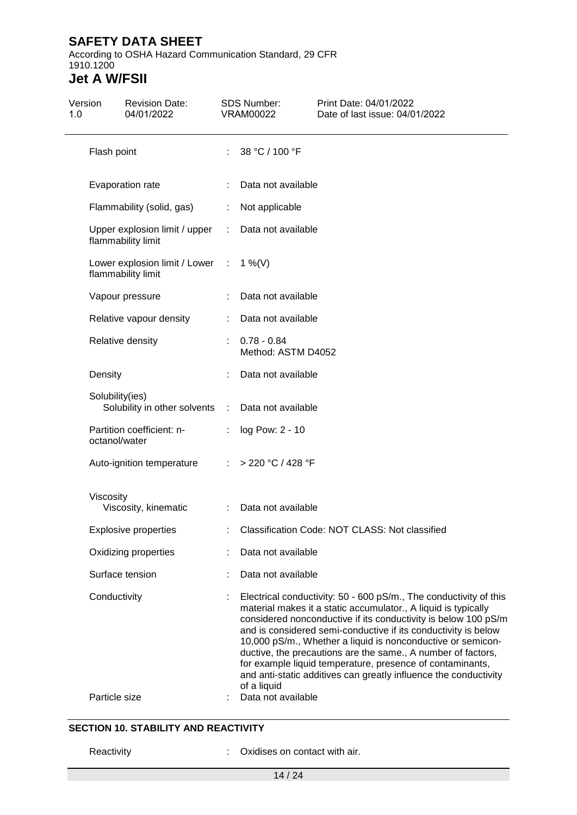According to OSHA Hazard Communication Standard, 29 CFR 1910.1200

# **Jet A W/FSII**

| Version<br>1.0 | <b>Revision Date:</b><br>04/01/2022                   |    | SDS Number:<br><b>VRAM00022</b>     | Print Date: 04/01/2022<br>Date of last issue: 04/01/2022                                                                                                                                                                                                                                                                                                                                                                                                                                                                                |
|----------------|-------------------------------------------------------|----|-------------------------------------|-----------------------------------------------------------------------------------------------------------------------------------------------------------------------------------------------------------------------------------------------------------------------------------------------------------------------------------------------------------------------------------------------------------------------------------------------------------------------------------------------------------------------------------------|
|                | Flash point                                           |    | : $38 °C / 100 °F$                  |                                                                                                                                                                                                                                                                                                                                                                                                                                                                                                                                         |
|                | Evaporation rate                                      |    | Data not available                  |                                                                                                                                                                                                                                                                                                                                                                                                                                                                                                                                         |
|                | Flammability (solid, gas)                             |    | Not applicable                      |                                                                                                                                                                                                                                                                                                                                                                                                                                                                                                                                         |
|                | Upper explosion limit / upper<br>flammability limit   | ÷. | Data not available                  |                                                                                                                                                                                                                                                                                                                                                                                                                                                                                                                                         |
|                | Lower explosion limit / Lower :<br>flammability limit |    | 1 %(V)                              |                                                                                                                                                                                                                                                                                                                                                                                                                                                                                                                                         |
|                | Vapour pressure                                       |    | Data not available                  |                                                                                                                                                                                                                                                                                                                                                                                                                                                                                                                                         |
|                | Relative vapour density                               |    | Data not available                  |                                                                                                                                                                                                                                                                                                                                                                                                                                                                                                                                         |
|                | Relative density                                      |    | $0.78 - 0.84$<br>Method: ASTM D4052 |                                                                                                                                                                                                                                                                                                                                                                                                                                                                                                                                         |
|                | Density                                               |    | Data not available                  |                                                                                                                                                                                                                                                                                                                                                                                                                                                                                                                                         |
|                | Solubility(ies)<br>Solubility in other solvents :     |    | Data not available                  |                                                                                                                                                                                                                                                                                                                                                                                                                                                                                                                                         |
|                | Partition coefficient: n-<br>octanol/water            |    | : $log Pow: 2 - 10$                 |                                                                                                                                                                                                                                                                                                                                                                                                                                                                                                                                         |
|                | Auto-ignition temperature                             |    | : > 220 °C / 428 °F                 |                                                                                                                                                                                                                                                                                                                                                                                                                                                                                                                                         |
|                | Viscosity<br>Viscosity, kinematic                     |    | Data not available                  |                                                                                                                                                                                                                                                                                                                                                                                                                                                                                                                                         |
|                | <b>Explosive properties</b>                           |    |                                     | Classification Code: NOT CLASS: Not classified                                                                                                                                                                                                                                                                                                                                                                                                                                                                                          |
|                | Oxidizing properties                                  |    | Data not available                  |                                                                                                                                                                                                                                                                                                                                                                                                                                                                                                                                         |
|                | Surface tension                                       |    | Data not available                  |                                                                                                                                                                                                                                                                                                                                                                                                                                                                                                                                         |
|                | Conductivity                                          |    | of a liquid                         | Electrical conductivity: 50 - 600 pS/m., The conductivity of this<br>material makes it a static accumulator., A liquid is typically<br>considered nonconductive if its conductivity is below 100 pS/m<br>and is considered semi-conductive if its conductivity is below<br>10,000 pS/m., Whether a liquid is nonconductive or semicon-<br>ductive, the precautions are the same., A number of factors,<br>for example liquid temperature, presence of contaminants,<br>and anti-static additives can greatly influence the conductivity |
|                | Particle size                                         |    | Data not available                  |                                                                                                                                                                                                                                                                                                                                                                                                                                                                                                                                         |

### **SECTION 10. STABILITY AND REACTIVITY**

Reactivity **:** Oxidises on contact with air.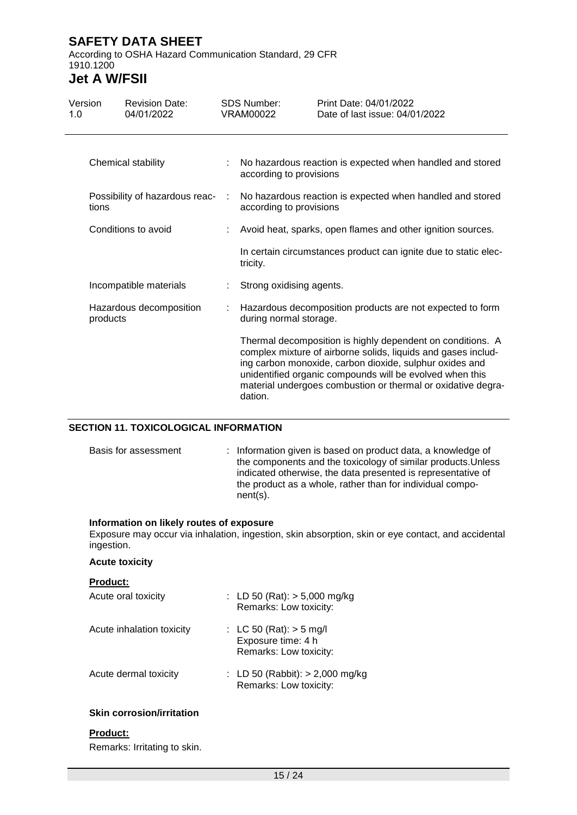According to OSHA Hazard Communication Standard, 29 CFR 1910.1200

# **Jet A W/FSII**

| Version<br>1.0 | <b>Revision Date:</b><br>04/01/2022 |   | SDS Number:<br>VRAM00022                                                             | Print Date: 04/01/2022<br>Date of last issue: 04/01/2022                                                                                                                                                                                                                                                           |  |  |  |  |
|----------------|-------------------------------------|---|--------------------------------------------------------------------------------------|--------------------------------------------------------------------------------------------------------------------------------------------------------------------------------------------------------------------------------------------------------------------------------------------------------------------|--|--|--|--|
|                | Chemical stability                  |   | No hazardous reaction is expected when handled and stored<br>according to provisions |                                                                                                                                                                                                                                                                                                                    |  |  |  |  |
| tions          | Possibility of hazardous reac-      | ÷ | No hazardous reaction is expected when handled and stored<br>according to provisions |                                                                                                                                                                                                                                                                                                                    |  |  |  |  |
|                | Conditions to avoid                 |   |                                                                                      | Avoid heat, sparks, open flames and other ignition sources.                                                                                                                                                                                                                                                        |  |  |  |  |
|                |                                     |   | tricity.                                                                             | In certain circumstances product can ignite due to static elec-                                                                                                                                                                                                                                                    |  |  |  |  |
|                | Incompatible materials              |   | Strong oxidising agents.                                                             |                                                                                                                                                                                                                                                                                                                    |  |  |  |  |
|                | Hazardous decomposition<br>products |   | during normal storage.                                                               | Hazardous decomposition products are not expected to form                                                                                                                                                                                                                                                          |  |  |  |  |
|                |                                     |   | dation.                                                                              | Thermal decomposition is highly dependent on conditions. A<br>complex mixture of airborne solids, liquids and gases includ-<br>ing carbon monoxide, carbon dioxide, sulphur oxides and<br>unidentified organic compounds will be evolved when this<br>material undergoes combustion or thermal or oxidative degra- |  |  |  |  |

### **SECTION 11. TOXICOLOGICAL INFORMATION**

| Basis for assessment | : Information given is based on product data, a knowledge of<br>the components and the toxicology of similar products. Unless<br>indicated otherwise, the data presented is representative of<br>the product as a whole, rather than for individual compo-<br>$nent(s)$ . |
|----------------------|---------------------------------------------------------------------------------------------------------------------------------------------------------------------------------------------------------------------------------------------------------------------------|
|----------------------|---------------------------------------------------------------------------------------------------------------------------------------------------------------------------------------------------------------------------------------------------------------------------|

#### **Information on likely routes of exposure**

Exposure may occur via inhalation, ingestion, skin absorption, skin or eye contact, and accidental ingestion.

#### **Acute toxicity**

| : LD 50 (Rat): $>$ 5,000 mg/kg<br>Remarks: Low toxicity:                  |
|---------------------------------------------------------------------------|
| : LC 50 (Rat): $>$ 5 mg/l<br>Exposure time: 4 h<br>Remarks: Low toxicity: |
| : LD 50 (Rabbit): $> 2,000$ mg/kg<br>Remarks: Low toxicity:               |
|                                                                           |

#### **Skin corrosion/irritation**

#### **Product:**

Remarks: Irritating to skin.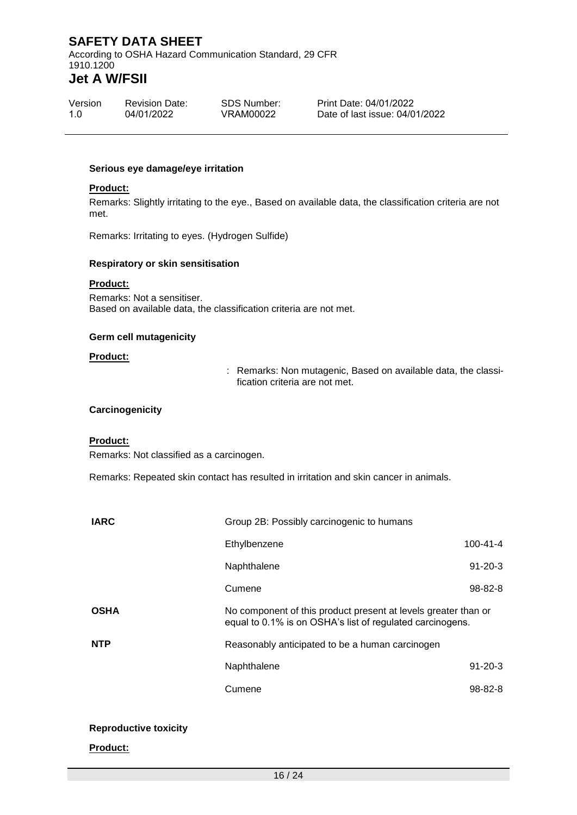According to OSHA Hazard Communication Standard, 29 CFR 1910.1200

# **Jet A W/FSII**

| Version | <b>Revision Date:</b> | SDS Number: |
|---------|-----------------------|-------------|
| 1.0     | 04/01/2022            | VRAM00022   |

Print Date: 04/01/2022 Date of last issue: 04/01/2022

#### **Serious eye damage/eye irritation**

#### **Product:**

Remarks: Slightly irritating to the eye., Based on available data, the classification criteria are not met.

Remarks: Irritating to eyes. (Hydrogen Sulfide)

#### **Respiratory or skin sensitisation**

### **Product:**

Remarks: Not a sensitiser. Based on available data, the classification criteria are not met.

#### **Germ cell mutagenicity**

#### **Product:**

: Remarks: Non mutagenic, Based on available data, the classification criteria are not met.

#### **Carcinogenicity**

#### **Product:**

Remarks: Not classified as a carcinogen.

Remarks: Repeated skin contact has resulted in irritation and skin cancer in animals.

| <b>IARC</b> | Group 2B: Possibly carcinogenic to humans                                                                                   |                |
|-------------|-----------------------------------------------------------------------------------------------------------------------------|----------------|
|             | Ethylbenzene                                                                                                                | $100 - 41 - 4$ |
|             | Naphthalene                                                                                                                 | $91 - 20 - 3$  |
|             | Cumene                                                                                                                      | $98 - 82 - 8$  |
| <b>OSHA</b> | No component of this product present at levels greater than or<br>equal to 0.1% is on OSHA's list of regulated carcinogens. |                |
| <b>NTP</b>  | Reasonably anticipated to be a human carcinogen                                                                             |                |
|             | Naphthalene                                                                                                                 | $91 - 20 - 3$  |
|             | Cumene                                                                                                                      | 98-82-8        |
|             |                                                                                                                             |                |

#### **Reproductive toxicity**

#### **Product:**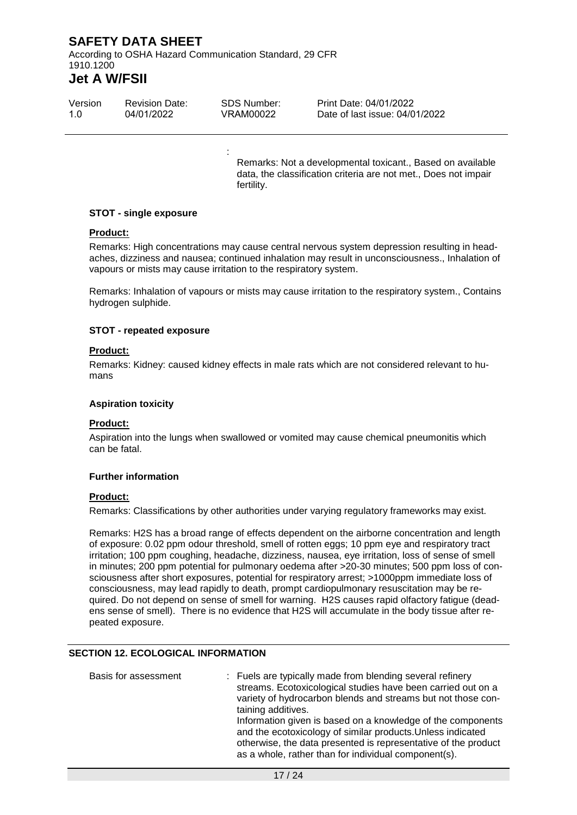According to OSHA Hazard Communication Standard, 29 CFR 1910.1200

# **Jet A W/FSII**

| Version | <b>Revision Date:</b> | SDS Number: | Print Date: 04/01/2022         |
|---------|-----------------------|-------------|--------------------------------|
| 1.0     | 04/01/2022            | VRAM00022   | Date of last issue: 04/01/2022 |

:

Remarks: Not a developmental toxicant., Based on available data, the classification criteria are not met., Does not impair fertility.

#### **STOT - single exposure**

#### **Product:**

Remarks: High concentrations may cause central nervous system depression resulting in headaches, dizziness and nausea; continued inhalation may result in unconsciousness., Inhalation of vapours or mists may cause irritation to the respiratory system.

Remarks: Inhalation of vapours or mists may cause irritation to the respiratory system., Contains hydrogen sulphide.

#### **STOT - repeated exposure**

#### **Product:**

Remarks: Kidney: caused kidney effects in male rats which are not considered relevant to humans

#### **Aspiration toxicity**

#### **Product:**

Aspiration into the lungs when swallowed or vomited may cause chemical pneumonitis which can be fatal.

#### **Further information**

#### **Product:**

Remarks: Classifications by other authorities under varying regulatory frameworks may exist.

Remarks: H2S has a broad range of effects dependent on the airborne concentration and length of exposure: 0.02 ppm odour threshold, smell of rotten eggs; 10 ppm eye and respiratory tract irritation; 100 ppm coughing, headache, dizziness, nausea, eye irritation, loss of sense of smell in minutes; 200 ppm potential for pulmonary oedema after >20-30 minutes; 500 ppm loss of consciousness after short exposures, potential for respiratory arrest; >1000ppm immediate loss of consciousness, may lead rapidly to death, prompt cardiopulmonary resuscitation may be required. Do not depend on sense of smell for warning. H2S causes rapid olfactory fatigue (deadens sense of smell). There is no evidence that H2S will accumulate in the body tissue after repeated exposure.

#### **SECTION 12. ECOLOGICAL INFORMATION**

| Basis for assessment | : Fuels are typically made from blending several refinery      |
|----------------------|----------------------------------------------------------------|
|                      | streams. Ecotoxicological studies have been carried out on a   |
|                      | variety of hydrocarbon blends and streams but not those con-   |
|                      | taining additives.                                             |
|                      | Information given is based on a knowledge of the components    |
|                      | and the ecotoxicology of similar products. Unless indicated    |
|                      | otherwise, the data presented is representative of the product |
|                      | as a whole, rather than for individual component(s).           |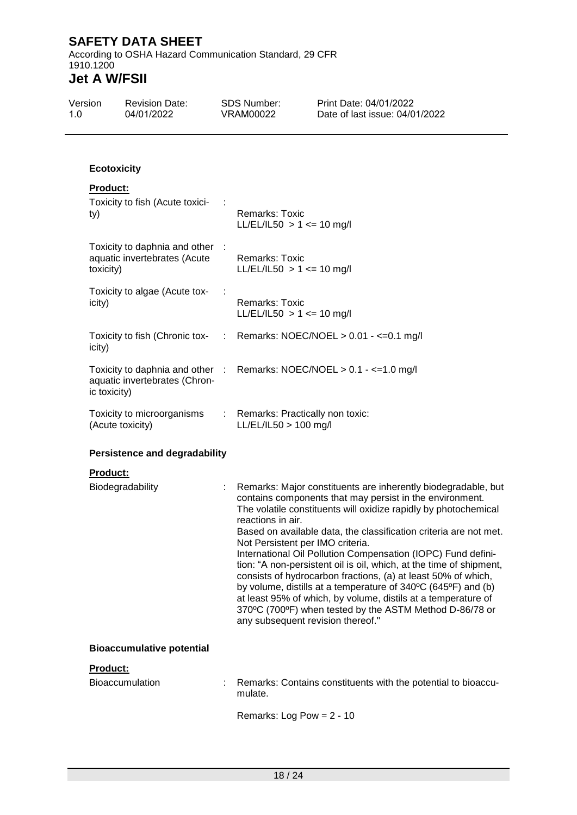According to OSHA Hazard Communication Standard, 29 CFR 1910.1200

| Version<br>1.0 |                                                           | <b>Revision Date:</b><br>04/01/2022                             | <b>SDS Number:</b><br><b>VRAM00022</b>                                                     | Print Date: 04/01/2022<br>Date of last issue: 04/01/2022                                                                                                                                                                                                                                                                                                                                                                                                                                                                                                                                                                                                               |
|----------------|-----------------------------------------------------------|-----------------------------------------------------------------|--------------------------------------------------------------------------------------------|------------------------------------------------------------------------------------------------------------------------------------------------------------------------------------------------------------------------------------------------------------------------------------------------------------------------------------------------------------------------------------------------------------------------------------------------------------------------------------------------------------------------------------------------------------------------------------------------------------------------------------------------------------------------|
|                | <b>Ecotoxicity</b>                                        |                                                                 |                                                                                            |                                                                                                                                                                                                                                                                                                                                                                                                                                                                                                                                                                                                                                                                        |
|                |                                                           |                                                                 |                                                                                            |                                                                                                                                                                                                                                                                                                                                                                                                                                                                                                                                                                                                                                                                        |
|                | <b>Product:</b><br>Toxicity to fish (Acute toxici-<br>ty) |                                                                 | <b>Remarks: Toxic</b><br>LL/EL/IL50 > 1 <= 10 mg/l                                         |                                                                                                                                                                                                                                                                                                                                                                                                                                                                                                                                                                                                                                                                        |
|                | toxicity)                                                 | Toxicity to daphnia and other :<br>aquatic invertebrates (Acute | <b>Remarks: Toxic</b><br>LL/EL/IL50 > 1 <= 10 mg/l                                         |                                                                                                                                                                                                                                                                                                                                                                                                                                                                                                                                                                                                                                                                        |
|                | icity)                                                    | Toxicity to algae (Acute tox-                                   | <b>Remarks: Toxic</b><br>LL/EL/IL50 > 1 <= 10 mg/l                                         |                                                                                                                                                                                                                                                                                                                                                                                                                                                                                                                                                                                                                                                                        |
|                | icity)                                                    |                                                                 |                                                                                            | Toxicity to fish (Chronic tox- : Remarks: NOEC/NOEL > 0.01 - <= 0.1 mg/l                                                                                                                                                                                                                                                                                                                                                                                                                                                                                                                                                                                               |
|                | ic toxicity)                                              | aquatic invertebrates (Chron-                                   |                                                                                            | Toxicity to daphnia and other : Remarks: NOEC/NOEL $> 0.1 - \le 1.0$ mg/l                                                                                                                                                                                                                                                                                                                                                                                                                                                                                                                                                                                              |
|                |                                                           | Toxicity to microorganisms<br>(Acute toxicity)                  | Remarks: Practically non toxic:<br>$LL/EL/IL50 > 100$ mg/l                                 |                                                                                                                                                                                                                                                                                                                                                                                                                                                                                                                                                                                                                                                                        |
|                | <b>Persistence and degradability</b>                      |                                                                 |                                                                                            |                                                                                                                                                                                                                                                                                                                                                                                                                                                                                                                                                                                                                                                                        |
|                | Product:                                                  |                                                                 |                                                                                            |                                                                                                                                                                                                                                                                                                                                                                                                                                                                                                                                                                                                                                                                        |
|                |                                                           | Biodegradability                                                | reactions in air.<br>Not Persistent per IMO criteria.<br>any subsequent revision thereof." | Remarks: Major constituents are inherently biodegradable, but<br>contains components that may persist in the environment.<br>The volatile constituents will oxidize rapidly by photochemical<br>Based on available data, the classification criteria are not met.<br>International Oil Pollution Compensation (IOPC) Fund defini-<br>tion: "A non-persistent oil is oil, which, at the time of shipment,<br>consists of hydrocarbon fractions, (a) at least 50% of which,<br>by volume, distills at a temperature of 340°C (645°F) and (b)<br>at least 95% of which, by volume, distils at a temperature of<br>370°C (700°F) when tested by the ASTM Method D-86/78 or |
|                |                                                           | <b>Bioaccumulative potential</b>                                |                                                                                            |                                                                                                                                                                                                                                                                                                                                                                                                                                                                                                                                                                                                                                                                        |
|                | Product:                                                  |                                                                 |                                                                                            |                                                                                                                                                                                                                                                                                                                                                                                                                                                                                                                                                                                                                                                                        |
|                |                                                           | <b>Bioaccumulation</b>                                          | mulate.                                                                                    | Remarks: Contains constituents with the potential to bioaccu-                                                                                                                                                                                                                                                                                                                                                                                                                                                                                                                                                                                                          |
|                |                                                           |                                                                 | Remarks: Log Pow = $2 - 10$                                                                |                                                                                                                                                                                                                                                                                                                                                                                                                                                                                                                                                                                                                                                                        |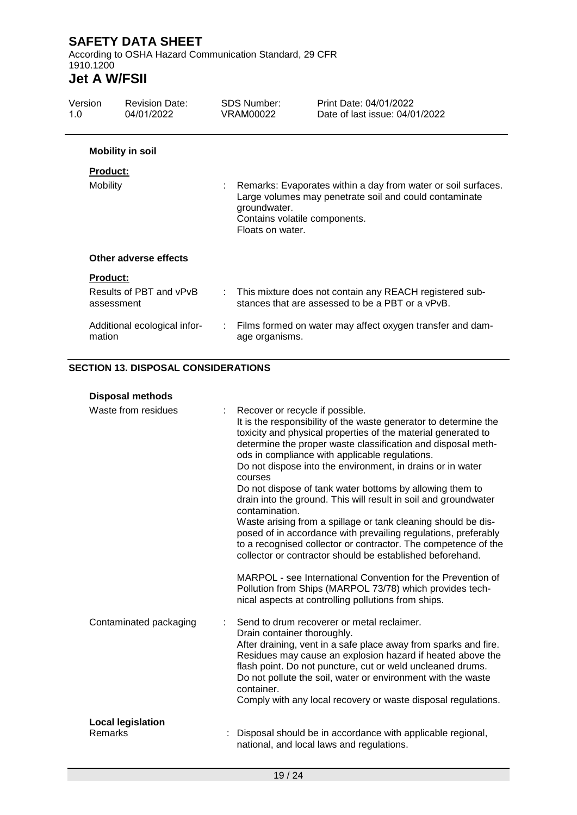According to OSHA Hazard Communication Standard, 29 CFR 1910.1200

# **Jet A W/FSII**

| Version<br>1.0                          | <b>Revision Date:</b><br>04/01/2022                     |    | SDS Number:<br>VRAM00022                                          | Print Date: 04/01/2022<br>Date of last issue: 04/01/2022                                                                                                                 |
|-----------------------------------------|---------------------------------------------------------|----|-------------------------------------------------------------------|--------------------------------------------------------------------------------------------------------------------------------------------------------------------------|
| <b>Product:</b>                         | <b>Mobility in soil</b>                                 |    |                                                                   |                                                                                                                                                                          |
| Mobility                                |                                                         |    | groundwater.<br>Contains volatile components.<br>Floats on water. | Remarks: Evaporates within a day from water or soil surfaces.<br>Large volumes may penetrate soil and could contaminate                                                  |
|                                         | Other adverse effects                                   |    |                                                                   |                                                                                                                                                                          |
| <b>Product:</b><br>assessment<br>mation | Results of PBT and vPvB<br>Additional ecological infor- | ÷. | age organisms.                                                    | This mixture does not contain any REACH registered sub-<br>stances that are assessed to be a PBT or a vPvB.<br>Films formed on water may affect oxygen transfer and dam- |

### **SECTION 13. DISPOSAL CONSIDERATIONS**

| <b>Disposal methods</b>                    |                                                                                                                                                                                                                                                                                                                                                                                                                                                                                                                                                                                                                                                                                                                                                                                                                                                   |
|--------------------------------------------|---------------------------------------------------------------------------------------------------------------------------------------------------------------------------------------------------------------------------------------------------------------------------------------------------------------------------------------------------------------------------------------------------------------------------------------------------------------------------------------------------------------------------------------------------------------------------------------------------------------------------------------------------------------------------------------------------------------------------------------------------------------------------------------------------------------------------------------------------|
| Waste from residues                        | Recover or recycle if possible.<br>It is the responsibility of the waste generator to determine the<br>toxicity and physical properties of the material generated to<br>determine the proper waste classification and disposal meth-<br>ods in compliance with applicable regulations.<br>Do not dispose into the environment, in drains or in water<br>courses<br>Do not dispose of tank water bottoms by allowing them to<br>drain into the ground. This will result in soil and groundwater<br>contamination.<br>Waste arising from a spillage or tank cleaning should be dis-<br>posed of in accordance with prevailing regulations, preferably<br>to a recognised collector or contractor. The competence of the<br>collector or contractor should be established beforehand.<br>MARPOL - see International Convention for the Prevention of |
|                                            | Pollution from Ships (MARPOL 73/78) which provides tech-<br>nical aspects at controlling pollutions from ships.                                                                                                                                                                                                                                                                                                                                                                                                                                                                                                                                                                                                                                                                                                                                   |
| Contaminated packaging                     | Send to drum recoverer or metal reclaimer.<br>Drain container thoroughly.<br>After draining, vent in a safe place away from sparks and fire.<br>Residues may cause an explosion hazard if heated above the<br>flash point. Do not puncture, cut or weld uncleaned drums.<br>Do not pollute the soil, water or environment with the waste<br>container.<br>Comply with any local recovery or waste disposal regulations.                                                                                                                                                                                                                                                                                                                                                                                                                           |
| <b>Local legislation</b><br><b>Remarks</b> | Disposal should be in accordance with applicable regional,<br>national, and local laws and regulations.                                                                                                                                                                                                                                                                                                                                                                                                                                                                                                                                                                                                                                                                                                                                           |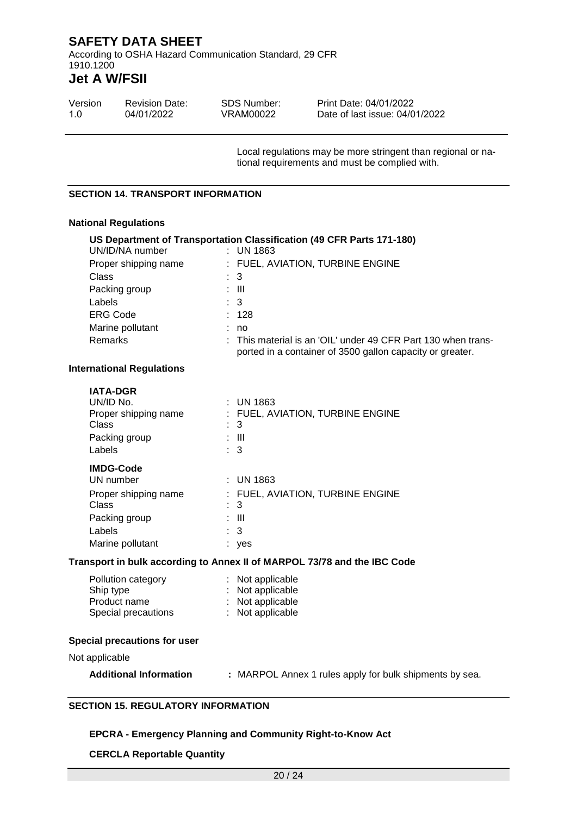According to OSHA Hazard Communication Standard, 29 CFR 1910.1200

# **Jet A W/FSII**

| Version | <b>Revision Date:</b> | SDS Number: | Print Date: 04/01/2022         |
|---------|-----------------------|-------------|--------------------------------|
| 1.O     | 04/01/2022            | VRAM00022   | Date of last issue: 04/01/2022 |

Local regulations may be more stringent than regional or national requirements and must be complied with.

#### **SECTION 14. TRANSPORT INFORMATION**

#### **National Regulations**

| UN/ID/NA number                                                                                 | US Department of Transportation Classification (49 CFR Parts 171-180)<br>$:$ UN 1863                                       |
|-------------------------------------------------------------------------------------------------|----------------------------------------------------------------------------------------------------------------------------|
| Proper shipping name                                                                            | : FUEL, AVIATION, TURBINE ENGINE                                                                                           |
| Class                                                                                           | 3                                                                                                                          |
| Packing group                                                                                   | $\therefore$ III                                                                                                           |
| Labels                                                                                          | 3                                                                                                                          |
| <b>ERG Code</b>                                                                                 | : 128                                                                                                                      |
| Marine pollutant                                                                                | : no                                                                                                                       |
| Remarks                                                                                         | : This material is an 'OIL' under 49 CFR Part 130 when trans-<br>ported in a container of 3500 gallon capacity or greater. |
| <b>International Regulations</b>                                                                |                                                                                                                            |
| <b>IATA-DGR</b><br>UN/ID No.<br>Proper shipping name<br><b>Class</b><br>Packing group<br>Labels | $:$ UN 1863<br>FUEL, AVIATION, TURBINE ENGINE<br>3<br>$\therefore$ III<br>3                                                |
| <b>IMDG-Code</b>                                                                                |                                                                                                                            |
| UN number                                                                                       | : UN 1863                                                                                                                  |
| Proper shipping name<br>Class                                                                   | : FUEL, AVIATION, TURBINE ENGINE<br>3                                                                                      |
| Packing group                                                                                   | $\therefore$ III                                                                                                           |
| Labels                                                                                          | 3                                                                                                                          |
| Marine pollutant                                                                                | : yes                                                                                                                      |
|                                                                                                 | Transport in bulk according to Annex II of MARPOL 73/78 and the IBC Code                                                   |
| Pollution category<br>Ship type<br>Product name<br>Special precautions                          | : Not applicable<br>: Not applicable<br>: Not applicable<br>: Not applicable                                               |
| Special precautions for user                                                                    |                                                                                                                            |
| Not annlicable                                                                                  |                                                                                                                            |

Not applicable

| <b>Additional Information</b><br>: MARPOL Annex 1 rules apply for bulk shipments by sea. |  |
|------------------------------------------------------------------------------------------|--|
|------------------------------------------------------------------------------------------|--|

#### **SECTION 15. REGULATORY INFORMATION**

#### **EPCRA - Emergency Planning and Community Right-to-Know Act**

#### **CERCLA Reportable Quantity**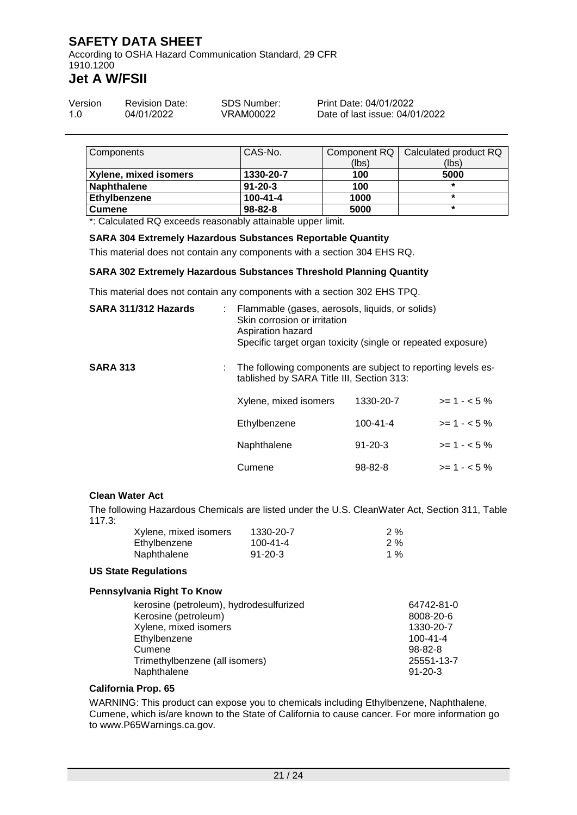According to OSHA Hazard Communication Standard, 29 CFR 1910.1200

# **Jet A W/FSII**

| Version | <b>Revision Date:</b> | SDS Number: | Print Date: 04/01/2022         |
|---------|-----------------------|-------------|--------------------------------|
| 1.0     | 04/01/2022            | VRAM00022   | Date of last issue: 04/01/2022 |

| Components            | CAS-No.        |       | Component RQ   Calculated product RQ |
|-----------------------|----------------|-------|--------------------------------------|
|                       |                | (lbs) | (lbs)                                |
| Xylene, mixed isomers | 1330-20-7      | 100   | 5000                                 |
| <b>Naphthalene</b>    | $91 - 20 - 3$  | 100   | $\star$                              |
| Ethylbenzene          | $100 - 41 - 4$ | 1000  | $\star$                              |
| <b>Cumene</b>         | $98 - 82 - 8$  | 5000  | $\star$                              |

\*: Calculated RQ exceeds reasonably attainable upper limit.

#### **SARA 304 Extremely Hazardous Substances Reportable Quantity**

This material does not contain any components with a section 304 EHS RQ.

#### **SARA 302 Extremely Hazardous Substances Threshold Planning Quantity**

This material does not contain any components with a section 302 EHS TPQ.

| SARA 311/312 Hazards | : Flammable (gases, aerosols, liquids, or solids)<br>Skin corrosion or irritation<br>Aspiration hazard<br>Specific target organ toxicity (single or repeated exposure) |                |              |
|----------------------|------------------------------------------------------------------------------------------------------------------------------------------------------------------------|----------------|--------------|
| <b>SARA 313</b>      | The following components are subject to reporting levels es-<br>tablished by SARA Title III, Section 313:                                                              |                |              |
|                      | Xylene, mixed isomers                                                                                                                                                  | 1330-20-7      | $>= 1 - 5\%$ |
|                      | Ethylbenzene                                                                                                                                                           | $100 - 41 - 4$ | $>= 1 - 5\%$ |
|                      | Naphthalene                                                                                                                                                            | $91 - 20 - 3$  | $>= 1 - 5%$  |
|                      | Cumene                                                                                                                                                                 | $98 - 82 - 8$  | $>= 1 - 5\%$ |

#### **Clean Water Act**

The following Hazardous Chemicals are listed under the U.S. CleanWater Act, Section 311, Table 117.3:

| Xylene, mixed isomers | 1330-20-7     | $2\%$ |
|-----------------------|---------------|-------|
| Ethylbenzene          | 100-41-4      | $2\%$ |
| Naphthalene           | $91 - 20 - 3$ | 1 %   |

#### **US State Regulations**

#### **Pennsylvania Right To Know**

| kerosine (petroleum), hydrodesulfurized | 64742-81-0     |
|-----------------------------------------|----------------|
| Kerosine (petroleum)                    | 8008-20-6      |
| Xylene, mixed isomers                   | 1330-20-7      |
| Ethylbenzene                            | $100 - 41 - 4$ |
| Cumene                                  | $98 - 82 - 8$  |
| Trimethylbenzene (all isomers)          | 25551-13-7     |
| Naphthalene                             | $91 - 20 - 3$  |

#### **California Prop. 65**

WARNING: This product can expose you to chemicals including Ethylbenzene, Naphthalene, Cumene, which is/are known to the State of California to cause cancer. For more information go to www.P65Warnings.ca.gov.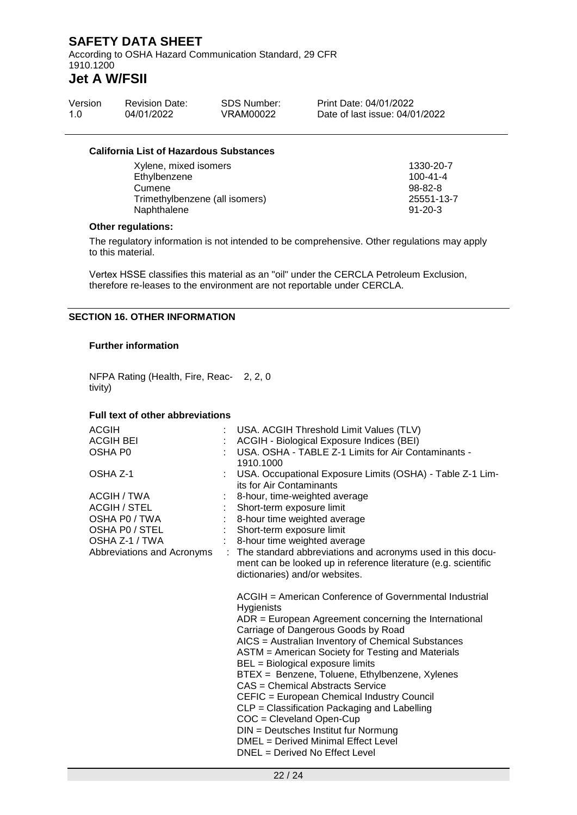According to OSHA Hazard Communication Standard, 29 CFR 1910.1200

# **Jet A W/FSII**

| Version | <b>Revision Date:</b> | SDS Number: | Print Date: 04/01/2022         |
|---------|-----------------------|-------------|--------------------------------|
| 1.0     | 04/01/2022            | VRAM00022   | Date of last issue: 04/01/2022 |

#### **California List of Hazardous Substances**

Xylene, mixed isomers 1330-20-7 Ethylbenzene 100-41-4<br>Cumene 100-41-4<br>98-82-8 Cumene 98-82-8<br>Trimethylbenzene (all isomers) 198-82-8<br>25551-13-7 Trimethylbenzene (all isomers) 25551-1<br>Naphthalene 31-20-3 Naphthalene

#### **Other regulations:**

The regulatory information is not intended to be comprehensive. Other regulations may apply to this material.

Vertex HSSE classifies this material as an "oil" under the CERCLA Petroleum Exclusion, therefore re-leases to the environment are not reportable under CERCLA.

#### **SECTION 16. OTHER INFORMATION**

#### **Further information**

NFPA Rating (Health, Fire, Reac-2, 2, 0 tivity)

#### **Full text of other abbreviations**

| <b>ACGIH</b>               | USA. ACGIH Threshold Limit Values (TLV)                                                                                                                                                                                      |
|----------------------------|------------------------------------------------------------------------------------------------------------------------------------------------------------------------------------------------------------------------------|
| <b>ACGIH BEI</b>           | ACGIH - Biological Exposure Indices (BEI)                                                                                                                                                                                    |
| OSHA P0                    | USA. OSHA - TABLE Z-1 Limits for Air Contaminants -<br>1910.1000                                                                                                                                                             |
| OSHA Z-1                   | USA. Occupational Exposure Limits (OSHA) - Table Z-1 Lim-<br>its for Air Contaminants                                                                                                                                        |
| ACGIH / TWA                | 8-hour, time-weighted average                                                                                                                                                                                                |
| <b>ACGIH / STEL</b>        | Short-term exposure limit                                                                                                                                                                                                    |
| OSHA P0 / TWA              | 8-hour time weighted average                                                                                                                                                                                                 |
| OSHA P0 / STEL             | Short-term exposure limit                                                                                                                                                                                                    |
| OSHA Z-1 / TWA             | : 8-hour time weighted average                                                                                                                                                                                               |
| Abbreviations and Acronyms | : The standard abbreviations and acronyms used in this docu-<br>ment can be looked up in reference literature (e.g. scientific<br>dictionaries) and/or websites.                                                             |
|                            | ACGIH = American Conference of Governmental Industrial<br>Hygienists<br>$ADR = European Agreement concerning the International$<br>Carriage of Dangerous Goods by Road<br>AICS = Australian Inventory of Chemical Substances |
|                            | ASTM = American Society for Testing and Materials<br>BEL = Biological exposure limits                                                                                                                                        |
|                            | BTEX = Benzene, Toluene, Ethylbenzene, Xylenes<br>CAS = Chemical Abstracts Service                                                                                                                                           |
|                            | CEFIC = European Chemical Industry Council                                                                                                                                                                                   |
|                            | CLP = Classification Packaging and Labelling<br>$COC = Cleveland Open-Cup$                                                                                                                                                   |
|                            | DIN = Deutsches Institut fur Normung<br>DMEL = Derived Minimal Effect Level                                                                                                                                                  |
|                            | DNEL = Derived No Effect Level                                                                                                                                                                                               |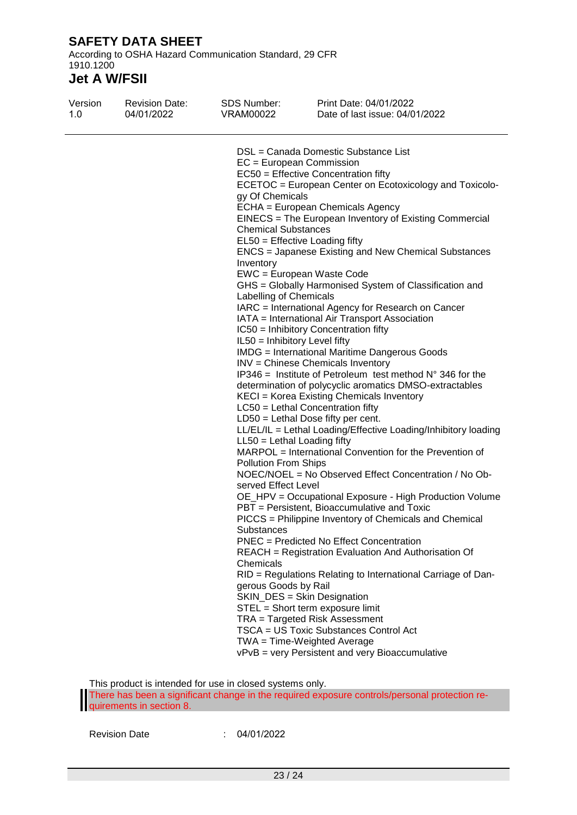According to OSHA Hazard Communication Standard, 29 CFR 1910.1200

# **Jet A W/FSII**

| Version | <b>Revision Date:</b> | SDS Number:                                                                                                                                                                                                                                              | Print Date: 04/01/2022                                                                                                                                                                                                                                                                                                                                                                                                                                                                                                                                                                                                                                                                                                                                                                                                                                                                                                                                                                                                                                                                                                                                                                                                                                                                                                                                                                                                                                                                                                                                                                                                                                                                                                                 |
|---------|-----------------------|----------------------------------------------------------------------------------------------------------------------------------------------------------------------------------------------------------------------------------------------------------|----------------------------------------------------------------------------------------------------------------------------------------------------------------------------------------------------------------------------------------------------------------------------------------------------------------------------------------------------------------------------------------------------------------------------------------------------------------------------------------------------------------------------------------------------------------------------------------------------------------------------------------------------------------------------------------------------------------------------------------------------------------------------------------------------------------------------------------------------------------------------------------------------------------------------------------------------------------------------------------------------------------------------------------------------------------------------------------------------------------------------------------------------------------------------------------------------------------------------------------------------------------------------------------------------------------------------------------------------------------------------------------------------------------------------------------------------------------------------------------------------------------------------------------------------------------------------------------------------------------------------------------------------------------------------------------------------------------------------------------|
| 1.0     | 04/01/2022            | VRAM00022                                                                                                                                                                                                                                                | Date of last issue: 04/01/2022                                                                                                                                                                                                                                                                                                                                                                                                                                                                                                                                                                                                                                                                                                                                                                                                                                                                                                                                                                                                                                                                                                                                                                                                                                                                                                                                                                                                                                                                                                                                                                                                                                                                                                         |
|         |                       | gy Of Chemicals<br><b>Chemical Substances</b><br>Inventory<br>Labelling of Chemicals<br>IL50 = Inhibitory Level fifty<br>$LL50 = Lethal$ Loading fifty<br>Pollution From Ships<br>served Effect Level<br>Substances<br>Chemicals<br>gerous Goods by Rail | DSL = Canada Domestic Substance List<br>$EC = European Commission$<br>EC50 = Effective Concentration fifty<br>ECETOC = European Center on Ecotoxicology and Toxicolo-<br>ECHA = European Chemicals Agency<br>EINECS = The European Inventory of Existing Commercial<br>$EL50 = E$ ffective Loading fifty<br>ENCS = Japanese Existing and New Chemical Substances<br>EWC = European Waste Code<br>GHS = Globally Harmonised System of Classification and<br>IARC = International Agency for Research on Cancer<br>IATA = International Air Transport Association<br>IC50 = Inhibitory Concentration fifty<br><b>IMDG</b> = International Maritime Dangerous Goods<br>INV = Chinese Chemicals Inventory<br>IP346 = Institute of Petroleum test method $N^{\circ}$ 346 for the<br>determination of polycyclic aromatics DMSO-extractables<br>KECI = Korea Existing Chemicals Inventory<br>LC50 = Lethal Concentration fifty<br>$LD50 = Lethal Does fifty per cent.$<br>LL/EL/IL = Lethal Loading/Effective Loading/Inhibitory loading<br>MARPOL = International Convention for the Prevention of<br>NOEC/NOEL = No Observed Effect Concentration / No Ob-<br>OE_HPV = Occupational Exposure - High Production Volume<br>PBT = Persistent, Bioaccumulative and Toxic<br>PICCS = Philippine Inventory of Chemicals and Chemical<br><b>PNEC</b> = Predicted No Effect Concentration<br>REACH = Registration Evaluation And Authorisation Of<br>RID = Regulations Relating to International Carriage of Dan-<br>SKIN_DES = Skin Designation<br>STEL = Short term exposure limit<br>TRA = Targeted Risk Assessment<br>TSCA = US Toxic Substances Control Act<br>TWA = Time-Weighted Average<br>vPvB = very Persistent and very Bioaccumulative |

This product is intended for use in closed systems only.

There has been a significant change in the required exposure controls/personal protection requirements in section 8.

Revision Date : 04/01/2022